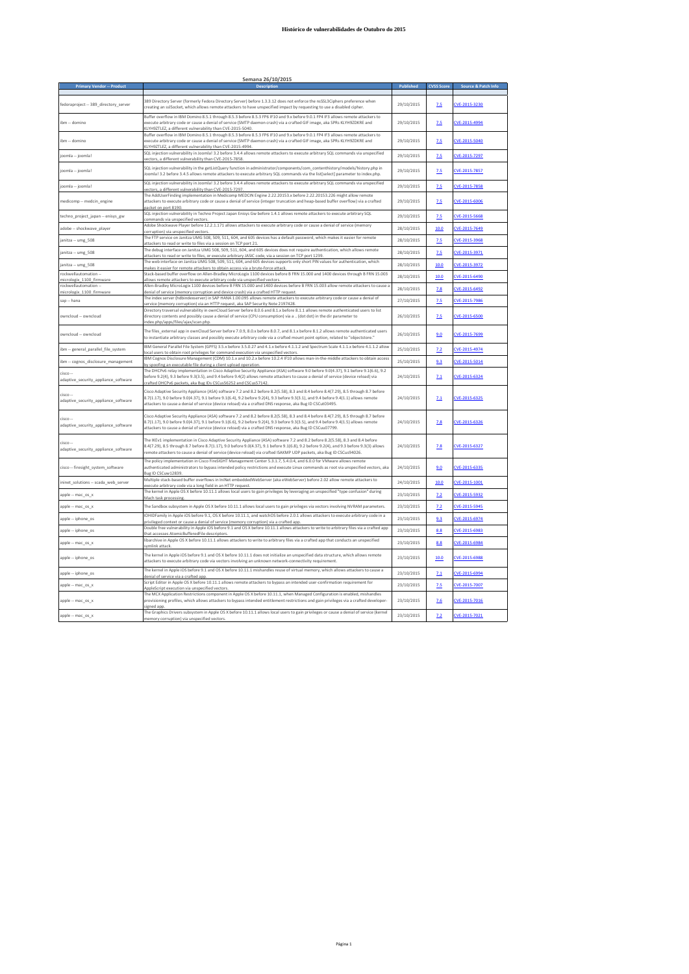| <b>Primary Vendor -- Product</b>                  | <b>Description</b>                                                                                                                                                                                                                                                                                                                                                                               | <b>Published</b> | <b>CVSS Scor</b> | Source & Patch Infi |
|---------------------------------------------------|--------------------------------------------------------------------------------------------------------------------------------------------------------------------------------------------------------------------------------------------------------------------------------------------------------------------------------------------------------------------------------------------------|------------------|------------------|---------------------|
|                                                   |                                                                                                                                                                                                                                                                                                                                                                                                  |                  |                  |                     |
| fedoraproject -- 389 directory server             | 389 Directory Server (formerly Fedora Directory Server) before 1.3.3.12 does not enforce the nsSSL3Ciphers preference when<br>creating an sslSocket, which allows remote attackers to have unspecified impact by requesting to use a disabled cipher.                                                                                                                                            | 29/10/2015       | 7.5              | CVE-2015-3230       |
| ibm -- domino                                     | Buffer overflow in IBM Domino 8.5.1 through 8.5.3 before 8.5.3 FP6 IF10 and 9.x before 9.0.1 FP4 IF3 allows remote attackers to<br>execute arbitrary code or cause a denial of service (SMTP daemon crash) via a crafted GIF image, aka SPRs KLYH9ZDKRE and<br>KLYH9ZTLEZ, a different vulnerability than CVE-2015-5040.                                                                         | 29/10/2015       | 7.5              | CVE-2015-4994       |
| ibm -- domino                                     | Buffer overflow in IBM Domino 8.5.1 through 8.5.3 before 8.5.3 FP6 IF10 and 9.x before 9.0.1 FP4 IF3 allows remote attackers to<br>execute arbitrary code or cause a denial of service (SMTP daemon crash) via a crafted GIF image, aka SPRs KLYH9ZDKRE and<br>KLYH9ZTLEZ, a different vulnerability than CVE-2015-4994.                                                                         | 29/10/2015       | 7.5              | CVE-2015-5040       |
| joomla -- joomla!                                 | SQL injection vulnerability in Joomla! 3.2 before 3.4.4 allows remote attackers to execute arbitrary SQL commands via unspecified<br>ectors, a different vulnerability than CVE-2015-7858                                                                                                                                                                                                        | 29/10/2015       | 7.5              | CVE-2015-7297       |
| joomla -- joomla!                                 | SQL injection vulnerability in the getListQuery function in administrator/components/com contenthistory/models/history.php in<br>loomla! 3.2 before 3.4.5 allows remote attackers to execute arbitrary SQL commands via the list(select) parameter to index.php.                                                                                                                                 | 29/10/2015       | 7.5              | CVE-2015-7857       |
| joomla -- joomla!                                 | SQL injection vulnerability in Joomla! 3.2 before 3.4.4 allows remote attackers to execute arbitrary SQL commands via unspecified<br>vectors, a different vulnerability than CVE-2015-7297.                                                                                                                                                                                                      | 29/10/2015       | 7.5              | CVE-2015-7858       |
| medicomp -- medcin_engine                         | The AddUserFinding implementation in Medicomp MEDCIN Engine 2.22.20153.x before 2.22.20153.226 might allow remote<br>attackers to execute arbitrary code or cause a denial of service (integer truncation and heap-based buffer overflow) via a crafted<br>packet on port 8190.                                                                                                                  | 29/10/2015       | 7.5              | CVE-2015-6006       |
| techno project japan -- enisys gw                 | SQL injection vulnerability in Techno Project Japan Enisys Gw before 1.4.1 allows remote attackers to execute arbitrary SQL<br>commands via unspecified vectors.                                                                                                                                                                                                                                 | 29/10/2015       | 7.5              | CVE-2015-5668       |
| adobe -- shockwave player                         | Adobe Shockwave Player before 12.2.1.171 allows attackers to execute arbitrary code or cause a denial of service (memory<br>corruption) via unspecified vectors.                                                                                                                                                                                                                                 | 28/10/2015       | 10.0             | CVE-2015-7649       |
| janitza -- umg 508                                | The FTP service on Janitza UMG 508, 509, 511, 604, and 605 devices has a default password, which makes it easier for remote<br>attackers to read or write to files via a session on TCP port 21.                                                                                                                                                                                                 | 28/10/2015       | 7.5              | CVE-2015-3968       |
| janitza -- umg_508                                | The debug interface on Janitza UMG 508, 509, 511, 604, and 605 devices does not require authentication, which allows remote<br>attackers to read or write to files, or execute arbitrary JASIC code, via a session on TCP port 1239.                                                                                                                                                             | 28/10/2015       | 7.5              | CVE-2015-3971       |
| janitza -- umg_508                                | The web interface on Janitza UMG 508, 509, 511, 604, and 605 devices supports only short PIN values for authentication, which<br>makes it easier for remote attackers to obtain access via a brute-force attack.                                                                                                                                                                                 | 28/10/2015       | 10.0             | CVE-2015-3972       |
| rockwellautomation --                             | Stack-based buffer overflow on Allen-Bradley MicroLogix 1100 devices before B FRN 15.000 and 1400 devices through B FRN 15.003                                                                                                                                                                                                                                                                   | 28/10/2015       | 10.0             | CVE-2015-6490       |
| micrologix_1100_firmware<br>rockwellautomation -- | allows remote attackers to execute arbitrary code via unspecified vectors.<br>Allen-Bradley MicroLogix 1100 devices before B FRN 15.000 and 1400 devices before B FRN 15.003 allow remote attackers to cause a                                                                                                                                                                                   | 28/10/2015       | 7.8              | VE-2015-6492        |
| micrologix 1100 firmware<br>sap -- hana           | denial of service (memory corruption and device crash) via a crafted HTTP request.<br>The index server (hdbindexserver) in SAP HANA 1.00.095 allows remote attackers to execute arbitrary code or cause a denial of                                                                                                                                                                              | 27/10/2015       | 7.5              | CVE-2015-7986       |
| owncloud -- owncloud                              | service (memory corruption) via an HTTP request, aka SAP Security Note 2197428.<br>Directory traversal vulnerability in ownCloud Server before 8.0.6 and 8.1.x before 8.1.1 allows remote authenticated users to list<br>directory contents and possibly cause a denial of service (CPU consumption) via a  (dot dot) in the dir parameter to                                                    | 26/10/2015       | 7.5              | CVE-2015-6500       |
|                                                   | index.php/apps/files/ajax/scan.php<br>The files_external app in ownCloud Server before 7.0.9, 8.0.x before 8.0.7, and 8.1.x before 8.1.2 allows remote authenticated users                                                                                                                                                                                                                       |                  |                  |                     |
| owncloud -- owncloud                              | to instantiate arbitrary classes and possibly execute arbitrary code via a crafted mount point option, related to "objectstore."                                                                                                                                                                                                                                                                 | 26/10/2015       | 9.0              | CVE-2015-7699       |
| ibm -- general_parallel_file_system               | IBM General Parallel File System (GPFS) 3.5.x before 3.5.0.27 and 4.1.x before 4.1.1.2 and Spectrum Scale 4.1.1.x before 4.1.1.2 allow<br>local users to obtain root privileges for command execution via unspecified vectors.                                                                                                                                                                   | 25/10/2015       | 7.2              | CVE-2015-4974       |
| ibm -- cognos disclosure management               | IBM Cognos Disclosure Management (CDM) 10.1.x and 10.2.x before 10.2.4 IF10 allows man-in-the-middle attackers to obtain access<br>by spoofing an executable file during a client upload operation.                                                                                                                                                                                              | 25/10/2015       | 9.3              | CVE-2015-5014       |
| risco --<br>adaptive_security_appliance_software  | The DHCPv6 relay implementation in Cisco Adaptive Security Appliance (ASA) software 9.0 before 9.0(4.37), 9.1 before 9.1(6.6), 9.2<br>before 9.2(4), 9.3 before 9.3(3.5), and 9.4 before 9.4(2) allows remote attackers to cause a denial of service (device reload) via<br>crafted DHCPv6 packets, aka Bug IDs CSCus56252 and CSCus57142.                                                       | 24/10/2015       | 7.1              | CVE-2015-6324       |
| cisco --<br>adaptive_security_appliance_software  | Cisco Adaptive Security Appliance (ASA) software 7.2 and 8.2 before 8.2(5.58), 8.3 and 8.4 before 8.4(7.29), 8.5 through 8.7 before<br>8.7(1.17), 9.0 before 9.0(4.37), 9.1 before 9.1(6.4), 9.2 before 9.2(4), 9.3 before 9.3(3.1), and 9.4 before 9.4(1.1) allows remote<br>attackers to cause a denial of service (device reload) via a crafted DNS response, aka Bug ID CSCut03495.          | 24/10/2015       | 7.1              | CVE-2015-6325       |
| cisco --<br>adaptive_security_appliance_software  | Cisco Adaptive Security Appliance (ASA) software 7.2 and 8.2 before 8.2(5.58), 8.3 and 8.4 before 8.4(7.29), 8.5 through 8.7 before<br>8.7(1.17), 9.0 before 9.0(4.37), 9.1 before 9.1(6.6), 9.2 before 9.2(4), 9.3 before 9.3(3.5), and 9.4 before 9.4(1.5) allows remote<br>attackers to cause a denial of service (device reload) via a crafted DNS response, aka Bug ID CSCuu07799.          | 24/10/2015       | 7.8              | CVE-2015-6326       |
| cisco --<br>adaptive_security_appliance_software  | The IKEv1 implementation in Cisco Adaptive Security Appliance (ASA) software 7.2 and 8.2 before 8.2(5.58), 8.3 and 8.4 before<br>8.4(7.29), 8.5 through 8.7 before 8.7(1.17), 9.0 before 9.0(4.37), 9.1 before 9.1(6.8), 9.2 before 9.2(4), and 9.3 before 9.3(3) allows<br>remote attackers to cause a denial of service (device reload) via crafted ISAKMP UDP packets, aka Bug ID CSCus94026. | 24/10/2015       | 7.8              | CVE-2015-6327       |
| cisco -- firesight system software                | The policy implementation in Cisco FireSIGHT Management Center 5.3.1.7, 5.4.0.4, and 6.0.0 for VMware allows remote<br>authenticated administrators to bypass intended policy restrictions and execute Linux commands as root via unspecified vectors, aka<br>Bug ID CSCuw12839                                                                                                                  | 24/10/2015       | 9.0              | CVE-2015-6335       |
| ininet solutions -- scada web server              | Multiple stack-based buffer overflows in IniNet embeddedWebServer (aka eWebServer) before 2.02 allow remote attackers to<br>execute arbitrary code via a long field in an HTTP request.                                                                                                                                                                                                          | 24/10/2015       | 10.0             | CVE-2015-1001       |
| apple -- mac_os_x                                 | The kernel in Apple OS X before 10.11.1 allows local users to gain privileges by leveraging an unspecified "type confusion" during<br>Mach task processing                                                                                                                                                                                                                                       | 23/10/2015       | 7.2              | CVE-2015-5932       |
| apple -- mac os x                                 | The Sandbox subsystem in Apple OS X before 10.11.1 allows local users to gain privileges via vectors involving NVRAM parameters.                                                                                                                                                                                                                                                                 | 23/10/2015       | 7.2              | CVE-2015-5945       |
| apple -- iphone os                                | IOHIDFamily in Apple iOS before 9.1, OS X before 10.11.1, and watchOS before 2.0.1 allows attackers to execute arbitrary code in a<br>privileged context or cause a denial of service (memory corruption) via a crafted app.                                                                                                                                                                     | 23/10/2015       | 9.3              | CVE-2015-6974       |
| apple -- iphone_os                                | Double free vulnerability in Apple iOS before 9.1 and OS X before 10.11.1 allows attackers to write to arbitrary files via a crafted app<br>that accesses AtomicBufferedFile descriptors.                                                                                                                                                                                                        | 23/10/2015       | 8.8              | CVE-2015-6983       |
| apple -- mac os x                                 | libarchive in Apple OS X before 10.11.1 allows attackers to write to arbitrary files via a crafted app that conducts an unspecified<br>symlink attack                                                                                                                                                                                                                                            | 23/10/2015       | 8.8              | CVE-2015-6984       |
| apple -- iphone os                                | The kernel in Apple iOS before 9.1 and OS X before 10.11.1 does not initialize an unspecified data structure, which allows remote<br>attackers to execute arbitrary code via vectors involving an unknown network-connectivity requirement.                                                                                                                                                      | 23/10/2015       | 10.0             | CVE-2015-6988       |
| apple -- iphone os                                | The kernel in Apple iOS before 9.1 and OS X before 10.11.1 mishandles reuse of virtual memory, which allows attackers to cause a<br>denial of service via a crafted app.                                                                                                                                                                                                                         | 23/10/2015       | 7.1              | CVE-2015-6994       |
| apple -- mac_os_x                                 | Script Editor in Apple OS X before 10.11.1 allows remote attackers to bypass an intended user-confirmation requirement for<br>AppleScript execution via unspecified vectors                                                                                                                                                                                                                      | 23/10/2015       | 7.5              | CVE-2015-7007       |
| apple -- mac os x                                 | The MCX Application Restrictions component in Apple OS X before 10.11.1, when Managed Configuration is enabled, mishandles<br>provisioning profiles, which allows attackers to bypass intended entitlement restrictions and gain privileges via a crafted developer-<br>signed app.                                                                                                              | 23/10/2015       | 7.6              | CVE-2015-7016       |
| apple -- mac os x                                 | The Graphics Drivers subsystem in Apple OS X before 10.11.1 allows local users to gain privileges or cause a denial of service (kernel<br>memory corruntion) via unspecified vectors.                                                                                                                                                                                                            | 23/10/2015       | 7.2              | CVE-2015-7021       |

# **Semana 26/10/2015**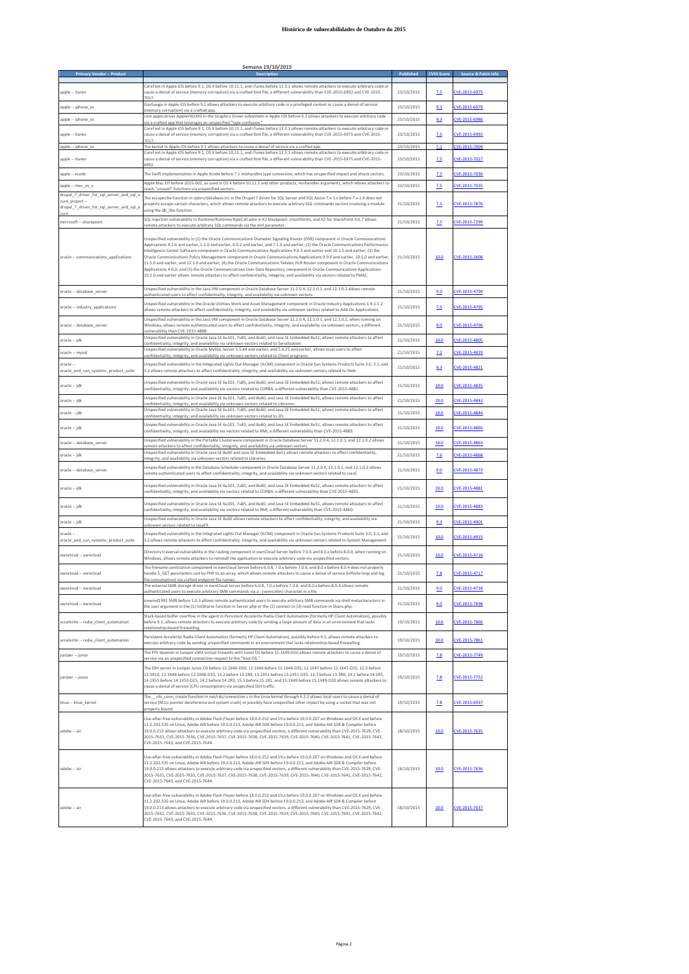| <b>Primary Vendor - Produc</b>                                                                          | Semana 19/10/2015                                                                                                                                                                                                                                                                                                                                                                                                                                                                                                                                                                                                                                                                                                                                                                                                                                                                                                                              |            |                   |                     |
|---------------------------------------------------------------------------------------------------------|------------------------------------------------------------------------------------------------------------------------------------------------------------------------------------------------------------------------------------------------------------------------------------------------------------------------------------------------------------------------------------------------------------------------------------------------------------------------------------------------------------------------------------------------------------------------------------------------------------------------------------------------------------------------------------------------------------------------------------------------------------------------------------------------------------------------------------------------------------------------------------------------------------------------------------------------|------------|-------------------|---------------------|
|                                                                                                         |                                                                                                                                                                                                                                                                                                                                                                                                                                                                                                                                                                                                                                                                                                                                                                                                                                                                                                                                                |            | <b>CVSS Score</b> | Source & Patch Info |
| apple -- itunes                                                                                         | CoreText in Apple iOS before 9.1, OS X before 10.11.1, and iTunes before 12.3.1 allows remote attackers to execute arbitrary code or<br>cause a denial of service (memory corruption) via a crafted font file, a different vulnerability than CVE-2015-6992 and CVE-2015-<br>7017.                                                                                                                                                                                                                                                                                                                                                                                                                                                                                                                                                                                                                                                             | 23/10/2015 | 2.5               | CVE-2015-6975       |
| apple -- iphone_os                                                                                      | GasGauge in Apple iOS before 9.1 allows attackers to execute arbitrary code in a privileged context or cause a denial of service<br>(memory corruption) via a crafted app.                                                                                                                                                                                                                                                                                                                                                                                                                                                                                                                                                                                                                                                                                                                                                                     | 23/10/2015 | 9.3               | CVE-2015-6979       |
| apple -- iphone_os                                                                                      | com.apple.driver.AppleVXD393 in the Graphics Driver subsystem in Apple iOS before 9.1 allows attackers to execute arbitrary code<br>via a crafted app that leverages an unspecified "type confusion.'<br>CoreText in Apple iOS before 9.1, OS X before 10.11.1, and iTunes before 12.3.1 allows remote attackers to execute arbitrary code or                                                                                                                                                                                                                                                                                                                                                                                                                                                                                                                                                                                                  | 23/10/2015 | 9.3               | CVE-2015-6986       |
| apple -- itunes                                                                                         | cause a denial of service (memory corruption) via a crafted font file, a different vulnerability than CVE-2015-6975 and CVE-2015-<br>7017                                                                                                                                                                                                                                                                                                                                                                                                                                                                                                                                                                                                                                                                                                                                                                                                      | 23/10/2015 | 2.5               | CVE-2015-6992       |
| apple -- iphone_os                                                                                      | The kernel in Apple iOS before 9.1 allows attackers to cause a denial of service via a crafted app.<br>CoreText in Apple iOS before 9.1, OS X before 10.11.1, and iTunes before 12.3.1 allows remote attackers to execute arbitrary code or                                                                                                                                                                                                                                                                                                                                                                                                                                                                                                                                                                                                                                                                                                    | 23/10/2015 | 7.1               | CVE-2015-7004       |
| apple -- itunes                                                                                         | cause a denial of service (memory corruption) via a crafted font file, a different vulnerability than CVE-2015-6975 and CVE-2015-                                                                                                                                                                                                                                                                                                                                                                                                                                                                                                                                                                                                                                                                                                                                                                                                              | 23/10/2015 | 7.5               | CVE-2015-7017       |
| apple -- xcode                                                                                          | The Swift implementation in Apple Xcode before 7.1 mishandles type conversion, which has unspecified impact and attack vectors.<br>Apple Mac EFI before 2015-002, as used in OS X before 10.11.1 and other products, mishandles arguments, which allows attackers to                                                                                                                                                                                                                                                                                                                                                                                                                                                                                                                                                                                                                                                                           | 23/10/2015 | 2.5               | CVE-2015-7030       |
| apple -- mac_os_x                                                                                       | each "unused" functions via unspecified vectors                                                                                                                                                                                                                                                                                                                                                                                                                                                                                                                                                                                                                                                                                                                                                                                                                                                                                                | 23/10/2015 | 7.5               | CVE-2015-7035       |
| drupal_7_driver_for_sql_server_and_sql_a<br>zure_project --<br>drupal_7_driver_for_sql_server_and_sql_a | The escapeLike function in sqlsrv/database.inc in the Drupal 7 driver for SQL Server and SQL Azure 7.x-1.x before 7.x-1.4 does not<br>properly escape certain characters, which allows remote attackers to execute arbitrary SQL commands vectors involving a module<br>using the db like function.                                                                                                                                                                                                                                                                                                                                                                                                                                                                                                                                                                                                                                            | 21/10/2015 | 7.5               | CVE-2015-7876       |
| zure<br>microsoft -- sharepoint                                                                         | SQL injection vulnerability in Runtime/Runtime/AjaxCall.ashx in K2 blackpearl, smartforms, and K2 for SharePoint 4.6.7 allows<br>remote attackers to execute arbitrary SQL commands via the xml parameter.                                                                                                                                                                                                                                                                                                                                                                                                                                                                                                                                                                                                                                                                                                                                     | 21/10/2015 | 7.5               | CVE-2015-7299       |
|                                                                                                         |                                                                                                                                                                                                                                                                                                                                                                                                                                                                                                                                                                                                                                                                                                                                                                                                                                                                                                                                                |            |                   |                     |
| oracle -- communications_applications                                                                   | Unspecified vulnerability in (1) the Oracle Communications Diameter Signaling Router (DSR) component in Oracle Communications<br>Applications 4.1.6 and earlier, 5.1.0 and earlier, 6.0.2 and earlier, and 7.1.0 and earlier; (2) the Oracle Communications Performance<br>Intelligence Center Software component in Oracle Communications Applications 9.0.3 and earlier and 10.1.5 and earlier; (3) the<br>Oracle Communications Policy Management component in Oracle Communications Applications 9.9.0 and earlier, 10.5.0 and earlier,<br>11.5.0 and earlier, and 12.1.0 and earlier; (4) the Oracle Communications Tekelec HLR Router component in Oracle Communications<br>Applications 4.0.0; and (5) the Oracle Communications User Data Repository component in Oracle Communications Applications<br>10.2.0 and earlier allows remote attackers to affect confidentiality, integrity, and availability via vectors related to PMAC. | 21/10/2015 | 10.0              | CVE-2015-2608       |
| oracle -- database server                                                                               | Unspecified vulnerability in the Java VM component in Oracle Database Server 11.2.0.4, 12.1.0.1, and 12.1.0.2 allows remote<br>authenticated users to affect confidentiality, integrity, and availability via unknown vectors                                                                                                                                                                                                                                                                                                                                                                                                                                                                                                                                                                                                                                                                                                                  | 21/10/2015 | 9.0               | CVE-2015-4794       |
| oracle -- industry_applications                                                                         | Unspecified vulnerability in the Oracle Utilities Work and Asset Management component in Oracle Industry Applications 1.9.1.1.2<br>allows remote attackers to affect confidentiality, integrity, and availability via unknown vectors related to Add-On Applications.                                                                                                                                                                                                                                                                                                                                                                                                                                                                                                                                                                                                                                                                          | 21/10/2015 | 2.5               | CVE-2015-4795       |
| oracle -- database server                                                                               | Unspecified vulnerability in the Java VM component in Oracle Database Server 11.2.0.4, 12.1.0.1, and 12.1.0.2, when running on<br>Windows, allows remote authenticated users to affect confidentiality, integrity, and availability via unknown vectors, a different<br>ulnerability than CVE-2015-4888                                                                                                                                                                                                                                                                                                                                                                                                                                                                                                                                                                                                                                        | 21/10/2015 | 9.0               | CVE-2015-4796       |
| oracle -- jdk                                                                                           | Unspecified vulnerability in Oracle Java SE 6u101, 7u85, and 8u60, and Java SE Embedded 8u51, allows remote attackers to affect<br>confidentiality, integrity, and availability via unknown vectors related to Serialization.                                                                                                                                                                                                                                                                                                                                                                                                                                                                                                                                                                                                                                                                                                                  | 21/10/2015 | 10.0              | CVE-2015-4805       |
| oracle -- mysql                                                                                         | Unspecified vulnerability in Oracle MySQL Server 5.5.44 and earlier, and 5.6.25 and earlier, allows local users to affect<br>confidentiality, integrity, and availability via unknown vectors related to Client programs                                                                                                                                                                                                                                                                                                                                                                                                                                                                                                                                                                                                                                                                                                                       | 21/10/2015 | 7.2               | CVE-2015-4819       |
| oracle --<br>oracle_and_sun_systems_product_suite                                                       | Unspecified vulnerability in the Integrated Lights Out Manager (ILOM) component in Oracle Sun Systems Products Suite 3.0, 3.1, and<br>3.2 allows remote attackers to affect confidentiality, integrity, and availability via unknown vectors related to Web.                                                                                                                                                                                                                                                                                                                                                                                                                                                                                                                                                                                                                                                                                   | 21/10/2015 | 9.3               | CVE-2015-4821       |
| oracle -- jdk                                                                                           | Unspecified vulnerability in Oracle Java SE 6u101, 7u85, and 8u60, and Java SE Embedded 8u51, allows remote attackers to affect<br>confidentiality, integrity, and availability via vectors related to CORBA, a different vulnerability than CVE-2015-4881.                                                                                                                                                                                                                                                                                                                                                                                                                                                                                                                                                                                                                                                                                    | 21/10/2015 | 10.0              | CVE-2015-4835       |
| oracle -- jdk                                                                                           | Unspecified vulnerability in Oracle Java SE 6u101, 7u85, and 8u60, and Java SE Embedded 8u51, allows remote attackers to affect<br>confidentiality, integrity, and availability via unknown vectors related to Libraries                                                                                                                                                                                                                                                                                                                                                                                                                                                                                                                                                                                                                                                                                                                       | 21/10/2015 | 10.0              | CVE-2015-4843       |
| oracle -- jdk                                                                                           | Unspecified vulnerability in Oracle Java SE 6u101, 7u85, and 8u60, and Java SE Embedded 8u51, allows remote attackers to affect<br>confidentiality, integrity, and availability via unknown vectors related to 2D.                                                                                                                                                                                                                                                                                                                                                                                                                                                                                                                                                                                                                                                                                                                             | 21/10/2015 | 10.0              | CVE-2015-4844       |
| oracle -- jdk                                                                                           | Unspecified vulnerability in Oracle Java SE 6u101, 7u85, and 8u60, and Java SE Embedded 8u51, allows remote attackers to affect<br>confidentiality, integrity, and availability via vectors related to RMI, a different vulnerability than CVE-2015-4883.                                                                                                                                                                                                                                                                                                                                                                                                                                                                                                                                                                                                                                                                                      | 21/10/2015 | 10.0              | CVE-2015-4860       |
| oracle -- database server                                                                               | Unspecified vulnerability in the Portable Clusterware component in Oracle Database Server 11.2.0.4, 12.1.0.1, and 12.1.0.2 allows<br>emote attackers to affect confidentiality, integrity, and availability via unknown vectors.                                                                                                                                                                                                                                                                                                                                                                                                                                                                                                                                                                                                                                                                                                               | 21/10/2015 | 10.0              | CVE-2015-4863       |
| oracle -- jdk                                                                                           | Unspecified vulnerability in Oracle Java SE 8u60 and Java SE Embedded 8u51 allows remote attackers to affect confidentiality,<br>integrity, and availability via unknown vectors related to Libraries                                                                                                                                                                                                                                                                                                                                                                                                                                                                                                                                                                                                                                                                                                                                          | 21/10/2015 | 7.6               | CVE-2015-4868       |
| oracle -- database_server                                                                               | Unspecified vulnerability in the Database Scheduler component in Oracle Database Server 11.2.0.4, 12.1.0.1, and 12.1.0.2 allows<br>remote authenticated users to affect confidentiality, integrity, and availability via unknown vectors related to Local.                                                                                                                                                                                                                                                                                                                                                                                                                                                                                                                                                                                                                                                                                     | 21/10/2015 | 9.0               | CVE-2015-4873       |
| oracle -- jdk                                                                                           | Unspecified vulnerability in Oracle Java SE 6u101, 7u85, and 8u60, and Java SE Embedded 8u51, allows remote attackers to affect<br>confidentiality, integrity, and availability via vectors related to CORBA, a different vulnerability than CVE-2015-4835.                                                                                                                                                                                                                                                                                                                                                                                                                                                                                                                                                                                                                                                                                    | 21/10/2015 | 10.0              | CVE-2015-4881       |
| oracle -- jdk                                                                                           | Unspecified vulnerability in Oracle Java SE 6u101, 7u85, and 8u60, and Java SE Embedded 8u51, allows remote attackers to affect<br>confidentiality, integrity, and availability via vectors related to RMI, a different vulnerability than CVE-2015-4860.                                                                                                                                                                                                                                                                                                                                                                                                                                                                                                                                                                                                                                                                                      | 21/10/2015 | 10.0              | CVE-2015-4883       |
| oracle -- jdk                                                                                           | Unspecified vulnerability in Oracle Java SE 8u60 allows remote attackers to affect confidentiality, integrity, and availability via<br>unknown vectors related to JavaFX                                                                                                                                                                                                                                                                                                                                                                                                                                                                                                                                                                                                                                                                                                                                                                       | 21/10/2015 | 9.3               | CVE-2015-4901       |
| oracle --<br>oracle and sun systems product suite                                                       | Unspecified vulnerability in the Integrated Lights Out Manager (ILOM) component in Oracle Sun Systems Products Suite 3.0, 3.1, and<br>3.2 allows remote attackers to affect confidentiality, integrity, and availability via unknown vectors related to System Management.                                                                                                                                                                                                                                                                                                                                                                                                                                                                                                                                                                                                                                                                     | 21/10/2015 | 10.0              | CVE-2015-4915       |
| owncloud -- owncloud                                                                                    | Directory traversal vulnerability in the routing component in ownCloud Server before 7.0.6 and 8.0.x before 8.0.4, when running on<br>Windows, allows remote attackers to reinstall the application or execute arbitrary code via unspecified vectors.                                                                                                                                                                                                                                                                                                                                                                                                                                                                                                                                                                                                                                                                                         | 21/10/2015 | 10.0              | CVE-2015-4716       |
| owncloud -- owncloud                                                                                    | The filename sanitization component in ownCloud Server before 6.0.8, 7.0.x before 7.0.6, and 8.0.x before 8.0.4 does not properly<br>handle \$_GET parameters cast by PHP to an array, which allows remote attackers to cause a denial of service (infinite loop and log                                                                                                                                                                                                                                                                                                                                                                                                                                                                                                                                                                                                                                                                       | 21/10/2015 | 7.8               | CVE-2015-4717       |
| owncloud -- owncloud                                                                                    | ile consumption) via crafted endpoint file names<br>The external SMB storage driver in ownCloud Server before 6.0.8, 7.0.x before 7.0.6, and 8.0.x before 8.0.4 allows remote<br>uthenticated users to execute arbitrary SMB commands via a ; (semicolon) character in a file.                                                                                                                                                                                                                                                                                                                                                                                                                                                                                                                                                                                                                                                                 | 21/10/2015 | 9.0               | CVE-2015-4718       |
| owncloud -- owncloud                                                                                    | icewind1991 SMB before 1.0.3 allows remote authenticated users to execute arbitrary SMB commands via shell metacharacters in<br>the user argument in the (1) listShares function in Server.php or the (2) connect or (3) read function in Share.php.                                                                                                                                                                                                                                                                                                                                                                                                                                                                                                                                                                                                                                                                                           | 21/10/2015 | 9.0               | CVE-2015-7698       |
| accelerite -- radia client automation                                                                   | Stack-based buffer overflow in the agent in Persistent Accelerite Radia Client Automation (formerly HP Client Automation), possibly<br>before 9.1, allows remote attackers to execute arbitrary code by sending a large amount of data in an environment that lacks                                                                                                                                                                                                                                                                                                                                                                                                                                                                                                                                                                                                                                                                            | 19/10/2015 | 10.0              | CVE-2015-7860       |
| accelerite -- radia_client_automation                                                                   | relationship-based firewalling<br>Persistent Accelerite Radia Client Automation (formerly HP Client Automation), possibly before 9.1, allows remote attackers to                                                                                                                                                                                                                                                                                                                                                                                                                                                                                                                                                                                                                                                                                                                                                                               | 19/10/2015 | 10.0              | CVE-2015-7861       |
|                                                                                                         | execute arbitrary code by sending unspecified commands in an environment that lacks relationship-based firewalling.<br>The PFE daemon in Juniper vSRX virtual firewalls with Junos OS before 15.1X49-D20 allows remote attackers to cause a denial of                                                                                                                                                                                                                                                                                                                                                                                                                                                                                                                                                                                                                                                                                          | 19/10/2015 |                   | CVE-2015-7749       |
| juniper -- junos                                                                                        | service via an unspecified connection request to the "host-OS.                                                                                                                                                                                                                                                                                                                                                                                                                                                                                                                                                                                                                                                                                                                                                                                                                                                                                 |            | 7.8               |                     |
| juniper -- junos                                                                                        | The SSH server in Juniper Junos OS before 12.1X44-D50, 12.1X46 before 12.1X46-D35, 12.1X47 before 12.1X47-D25, 12.3 before<br>12.3R10, 12.3X48 before 12.3X48-D10, 13.2 before 13.2R8, 13.2X51 before 13.2X51-D35, 13.3 before 13.3R6, 14.1 before 14.1R5,<br>14.1X53 before 14.1X53-D25, 14.2 before 14.2R3, 15.1 before 15.1R1, and 15.1X49 before 15.1X49-D20 allows remote attackers to<br>cause a denial of service (CPU consumption) via unspecified SSH traffic.                                                                                                                                                                                                                                                                                                                                                                                                                                                                        | 19/10/2015 | 7.8               | CVE-2015-7752       |
| linux -- linux_kernel                                                                                   | The __rds_conn_create function in net/rds/connection.c in the Linux kernel through 4.2.3 allows local users to cause a denial of<br>service (NULL pointer dereference and system crash) or possibly have unspecified other impact by using a socket that was not<br>properly bound.                                                                                                                                                                                                                                                                                                                                                                                                                                                                                                                                                                                                                                                            | 19/10/2015 | 7.8               | CVE-2015-6937       |
| adobe -- air                                                                                            | Use-after-free vulnerability in Adobe Flash Player before 18.0.0.252 and 19.x before 19.0.0.207 on Windows and OS X and before<br>11.2.202.535 on Linux, Adobe AIR before 19.0.0.213, Adobe AIR SDK before 19.0.0.213, and Adobe AIR SDK & Compiler before<br>19.0.0.213 allows attackers to execute arbitrary code via unspecified vectors, a different vulnerability than CVE-2015-7629, CVE-<br>2015-7631, CVE-2015-7636, CVE-2015-7637, CVE-2015-7638, CVE-2015-7639, CVE-2015-7640, CVE-2015-7641, CVE-2015-7642,<br>CVE-2015-7643, and CVE-2015-7644.                                                                                                                                                                                                                                                                                                                                                                                    | 18/10/2015 | 10.0              | CVE-2015-7635       |
| adobe -- air                                                                                            | Use-after-free vulnerability in Adobe Flash Player before 18.0.0.252 and 19.x before 19.0.0.207 on Windows and OS X and before<br>11.2.202.535 on Linux, Adobe AIR before 19.0.0.213, Adobe AIR SDK before 19.0.0.213, and Adobe AIR SDK & Compiler before<br>19.0.0.213 allows attackers to execute arbitrary code via unspecified vectors, a different vulnerability than CVE-2015-7629, CVE-<br>2015-7631, CVE-2015-7635, CVE-2015-7637, CVE-2015-7638, CVE-2015-7639, CVE-2015-7640, CVE-2015-7641, CVE-2015-7642,<br>CVE-2015-7643, and CVE-2015-7644.                                                                                                                                                                                                                                                                                                                                                                                    | 18/10/2015 | 10.0              | CVE-2015-7636       |
| adobe -- air                                                                                            | Use-after-free vulnerability in Adobe Flash Player before 18.0.0.252 and 19.x before 19.0.0.207 on Windows and OS X and before<br>11.2.202.535 on Linux, Adobe AIR before 19.0.0.213, Adobe AIR SDK before 19.0.0.213, and Adobe AIR SDK & Compiler before<br>19.0.0.213 allows attackers to execute arbitrary code via unspecified vectors, a different vulnerability than CVE-2015-7629, CVE-<br>2015-7631, CVE-2015-7635, CVE-2015-7636, CVE-2015-7638, CVE-2015-7639, CVE-2015-7640, CVE-2015-7641, CVE-2015-7642,<br>CVE-2015-7643, and CVE-2015-7644.                                                                                                                                                                                                                                                                                                                                                                                    | 18/10/2015 | 10.0              | CVE-2015-7637       |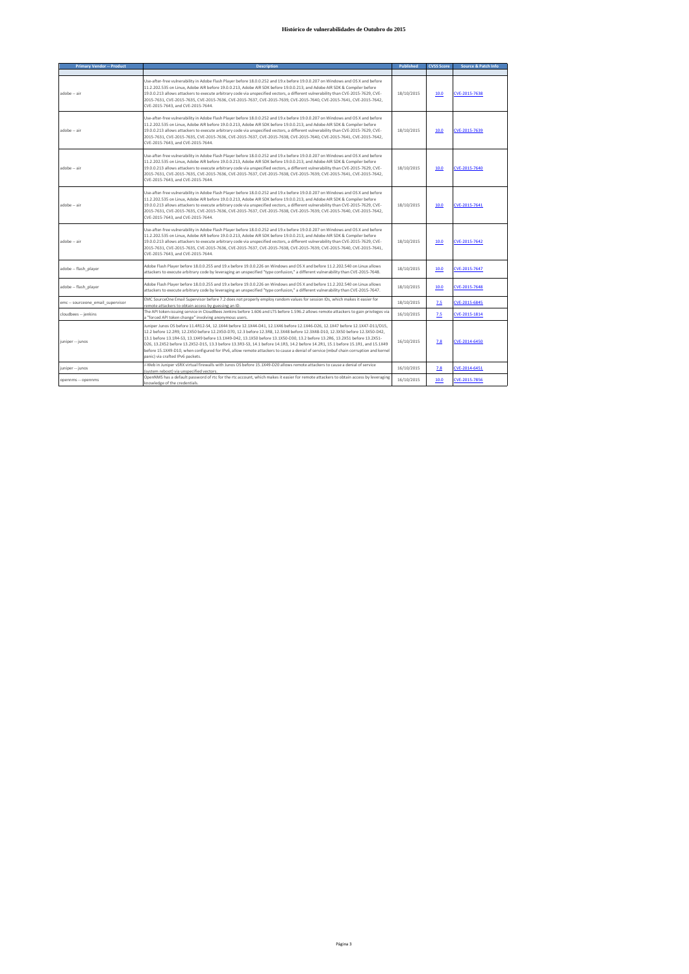| <b>Primary Vendor -- Product</b>  | <b>Description</b>                                                                                                                                                                                                                                                                                                                                                                                                                                                                                                                                                                                                                                                                                     | Published  | <b>CVSS Score</b> | Source & Patch Info |
|-----------------------------------|--------------------------------------------------------------------------------------------------------------------------------------------------------------------------------------------------------------------------------------------------------------------------------------------------------------------------------------------------------------------------------------------------------------------------------------------------------------------------------------------------------------------------------------------------------------------------------------------------------------------------------------------------------------------------------------------------------|------------|-------------------|---------------------|
|                                   |                                                                                                                                                                                                                                                                                                                                                                                                                                                                                                                                                                                                                                                                                                        |            |                   |                     |
| adobe -- air                      | Use-after-free vulnerability in Adobe Flash Player before 18.0.0.252 and 19.x before 19.0.0.207 on Windows and OS X and before<br>11.2.202.535 on Linux, Adobe AIR before 19.0.0.213, Adobe AIR SDK before 19.0.0.213, and Adobe AIR SDK & Compiler before<br>19.0.0.213 allows attackers to execute arbitrary code via unspecified vectors, a different vulnerability than CVE-2015-7629, CVE-<br>2015-7631, CVE-2015-7635, CVE-2015-7636, CVE-2015-7637, CVE-2015-7639, CVE-2015-7640, CVE-2015-7641, CVE-2015-7642,<br>CVE-2015-7643, and CVE-2015-7644.                                                                                                                                            | 18/10/2015 | 10.0              | CVE-2015-7638       |
| adobe -- air                      | Use-after-free vulnerability in Adobe Flash Player before 18.0.0.252 and 19.x before 19.0.0.207 on Windows and OS X and before<br>11.2.202.535 on Linux, Adobe AIR before 19.0.0.213, Adobe AIR SDK before 19.0.0.213, and Adobe AIR SDK & Compiler before<br>19.0.0.213 allows attackers to execute arbitrary code via unspecified vectors, a different vulnerability than CVE-2015-7629, CVE-<br>2015-7631, CVE-2015-7635, CVE-2015-7636, CVE-2015-7637, CVE-2015-7638, CVE-2015-7640, CVE-2015-7641, CVE-2015-7642,<br>CVE-2015-7643, and CVE-2015-7644.                                                                                                                                            | 18/10/2015 | 10.0              | CVE-2015-7639       |
| adobe -- air                      | Use-after-free vulnerability in Adobe Flash Player before 18.0.0.252 and 19.x before 19.0.0.207 on Windows and OS X and before<br>11.2.202.535 on Linux, Adobe AIR before 19.0.0.213, Adobe AIR SDK before 19.0.0.213, and Adobe AIR SDK & Compiler before<br>19.0.0.213 allows attackers to execute arbitrary code via unspecified vectors, a different vulnerability than CVE-2015-7629, CVE-<br>2015-7631, CVE-2015-7635, CVE-2015-7636, CVE-2015-7637, CVE-2015-7638, CVE-2015-7639, CVE-2015-7641, CVE-2015-7642,<br>CVE-2015-7643, and CVE-2015-7644.                                                                                                                                            | 18/10/2015 | 10.0              | CVE-2015-7640       |
| adobe -- air                      | Use-after-free vulnerability in Adobe Flash Player before 18.0.0.252 and 19.x before 19.0.0.207 on Windows and OS X and before<br>11.2.202.535 on Linux, Adobe AIR before 19.0.0.213, Adobe AIR SDK before 19.0.0.213, and Adobe AIR SDK & Compiler before<br>19.0.0.213 allows attackers to execute arbitrary code via unspecified vectors, a different vulnerability than CVE-2015-7629, CVE-<br>2015-7631, CVE-2015-7635, CVE-2015-7636, CVE-2015-7637, CVE-2015-7638, CVE-2015-7639, CVE-2015-7640, CVE-2015-7642,<br>CVE-2015-7643, and CVE-2015-7644.                                                                                                                                            | 18/10/2015 | 10.0              | CVE-2015-7641       |
| adobe -- air                      | Use-after-free vulnerability in Adobe Flash Player before 18.0.0.252 and 19.x before 19.0.0.207 on Windows and OS X and before<br>11.2.202.535 on Linux, Adobe AIR before 19.0.0.213, Adobe AIR SDK before 19.0.0.213, and Adobe AIR SDK & Compiler before<br>19.0.0.213 allows attackers to execute arbitrary code via unspecified vectors, a different vulnerability than CVE-2015-7629, CVE-<br>2015-7631, CVE-2015-7635, CVE-2015-7636, CVE-2015-7637, CVE-2015-7638, CVE-2015-7639, CVE-2015-7640, CVE-2015-7641,<br>CVE-2015-7643, and CVE-2015-7644.                                                                                                                                            | 18/10/2015 | 10.0              | CVE-2015-7642       |
| adobe -- flash player             | Adobe Flash Player before 18.0.0.255 and 19.x before 19.0.0.226 on Windows and OS X and before 11.2.202.540 on Linux allows<br>attackers to execute arbitrary code by leveraging an unspecified "type confusion," a different vulnerability than CVE-2015-7648.                                                                                                                                                                                                                                                                                                                                                                                                                                        | 18/10/2015 | 10.0              | CVE-2015-7647       |
| adobe -- flash player             | Adobe Flash Player before 18.0.0.255 and 19.x before 19.0.0.226 on Windows and OS X and before 11.2.202.540 on Linux allows<br>attackers to execute arbitrary code by leveraging an unspecified "type confusion," a different vulnerability than CVE-2015-7647.                                                                                                                                                                                                                                                                                                                                                                                                                                        | 18/10/2015 | 10.0              | CVE-2015-7648       |
| emc -- sourceone_email_supervisor | EMC SourceOne Email Supervisor before 7.2 does not properly employ random values for session IDs, which makes it easier for<br>remote attackers to obtain access by guessing an ID.                                                                                                                                                                                                                                                                                                                                                                                                                                                                                                                    | 18/10/2015 | 7.5               | CVE-2015-6845       |
| cloudbees -- jenkins              | The API token-issuing service in CloudBees Jenkins before 1.606 and LTS before 1.596.2 allows remote attackers to gain privileges via<br>a "forced API token change" involving anonymous users.                                                                                                                                                                                                                                                                                                                                                                                                                                                                                                        | 16/10/2015 | 2.5               | CVE-2015-1814       |
| juniper -- junos                  | Juniper Junos OS before 11.4R12-S4, 12.1X44 before 12.1X44-D41, 12.1X46 before 12.1X46-D26, 12.1X47 before 12.1X47-D11/D15,<br>12.2 before 12.2R9, 12.2X50 before 12.2X50-D70, 12.3 before 12.3R8, 12.3X48 before 12.3X48-D10, 12.3X50 before 12.3X50-D42,<br>13.1 before 13.1R4-S3, 13.1X49 before 13.1X49-D42, 13.1X50 before 13.1X50-D30, 13.2 before 13.2R6, 13.2X51 before 13.2X51-<br>D26, 13.2X52 before 13.2X52-D15, 13.3 before 13.3R3-S3, 14.1 before 14.1R3, 14.2 before 14.2R1, 15.1 before 15.1R1, and 15.1X49<br>before 15.1X49-D10, when configured for IPv6, allow remote attackers to cause a denial of service (mbuf chain corruption and kernel<br>panic) via crafted IPv6 packets. | 16/10/2015 | 7.8               | CVE-2014-6450       |
| juniper -- junos                  | J-Web in Juniper vSRX virtual firewalls with Junos OS before 15.1X49-D20 allows remote attackers to cause a denial of service<br>(system reboot) via unspecified vectors.                                                                                                                                                                                                                                                                                                                                                                                                                                                                                                                              | 16/10/2015 | 7.8               | CVE-2014-6451       |
| opennms -- opennms                | OpenNMS has a default password of rtc for the rtc account, which makes it easier for remote attackers to obtain access by leveraging<br>knowledge of the credentials.                                                                                                                                                                                                                                                                                                                                                                                                                                                                                                                                  | 16/10/2015 | 10.0              | CVE-2015-7856       |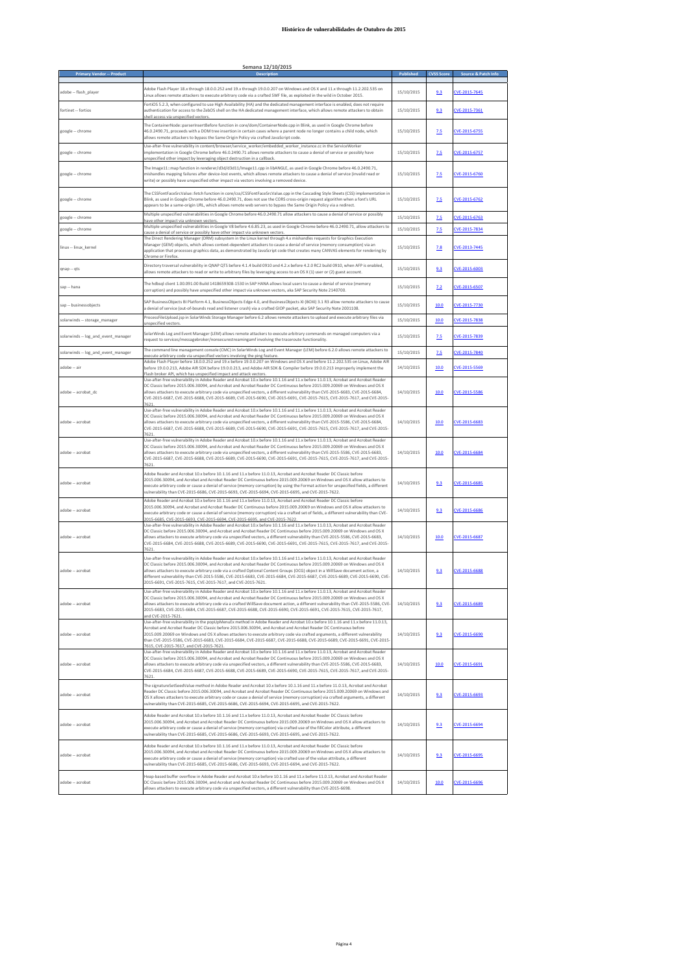|                                     | Semana 12/10/2015<br>Description                                                                                                                                                                                                                                                                                                                                                                                                                                                                                                                                                             |            |                   |                     |
|-------------------------------------|----------------------------------------------------------------------------------------------------------------------------------------------------------------------------------------------------------------------------------------------------------------------------------------------------------------------------------------------------------------------------------------------------------------------------------------------------------------------------------------------------------------------------------------------------------------------------------------------|------------|-------------------|---------------------|
| <b>Primary Vendor -- Product</b>    |                                                                                                                                                                                                                                                                                                                                                                                                                                                                                                                                                                                              |            | <b>CVSS Score</b> | Source & Patch Info |
| adobe -- flash_player               | Adobe Flash Player 18.x through 18.0.0.252 and 19.x through 19.0.0.207 on Windows and OS X and 11.x through 11.2.202.535 on<br>Linux allows remote attackers to execute arbitrary code via a crafted SWF file, as exploited in the wild in October 2015.                                                                                                                                                                                                                                                                                                                                     | 15/10/2015 | 9.3               | CVE-2015-7645       |
| fortinet -- fortios                 | FortiOS 5.2.3, when configured to use High Availability (HA) and the dedicated management interface is enabled, does not require<br>authentication for access to the ZebOS shell on the HA dedicated management interface, which allows remote attackers to obtain<br>shell access via unspecified vectors                                                                                                                                                                                                                                                                                   | 15/10/2015 | 9.3               | CVE-2015-7361       |
| google -- chrome                    | The ContainerNode::parserInsertBefore function in core/dom/ContainerNode.cpp in Blink, as used in Google Chrome before<br>46.0.2490.71, proceeds with a DOM tree insertion in certain cases where a parent node no longer contains a child node, which<br>allows remote attackers to bypass the Same Origin Policy via crafted JavaScript code.                                                                                                                                                                                                                                              | 15/10/2015 | 2.5               | CVE-2015-6755       |
| google -- chrome                    | Use-after-free vulnerability in content/browser/service_worker/embedded_worker_instance.cc in the ServiceWorker<br>implementation in Google Chrome before 46.0.2490.71 allows remote attackers to cause a denial of service or possibly have<br>unspecified other impact by leveraging object destruction in a callback.                                                                                                                                                                                                                                                                     | 15/10/2015 | 7.5               | CVE-2015-6757       |
| google -- chrome                    | The Image11::map function in renderer/d3d/d3d11/Image11.cpp in libANGLE, as used in Google Chrome before 46.0.2490.71,<br>mishandles mapping failures after device-lost events, which allows remote attackers to cause a denial of service (invalid read or<br>write) or possibly have unspecified other impact via vectors involving a removed device.                                                                                                                                                                                                                                      | 15/10/2015 | 2.5               | CVE-2015-6760       |
| google -- chrome                    | The CSSFontFaceSrcValue::fetch function in core/css/CSSFontFaceSrcValue.cpp in the Cascading Style Sheets (CSS) implementation in<br>Blink, as used in Google Chrome before 46.0.2490.71, does not use the CORS cross-origin request algorithm when a font's URL<br>appears to be a same-origin URL, which allows remote web servers to bypass the Same Origin Policy via a redirect.                                                                                                                                                                                                        | 15/10/2015 | 7.5               | CVE-2015-6762       |
| google -- chrome                    | Multiple unspecified vulnerabilities in Google Chrome before 46.0.2490.71 allow attackers to cause a denial of service or possibly<br>have other impact via unknown vectors                                                                                                                                                                                                                                                                                                                                                                                                                  | 15/10/2015 | 2.5               | CVE-2015-6763       |
| google -- chrome                    | Multiple unspecified vulnerabilities in Google V8 before 4.6.85.23, as used in Google Chrome before 46.0.2490.71, allow attackers to<br>cause a denial of service or possibly have other impact via unknown vectors:                                                                                                                                                                                                                                                                                                                                                                         | 15/10/2015 | 2.5               | CVE-2015-7834       |
| linux -- linux kernel               | The Direct Rendering Manager (DRM) subsystem in the Linux kernel through 4.x mishandles requests for Graphics Execution<br>Manager (GEM) objects, which allows context-dependent attackers to cause a denial of service (memory consumption) via an<br>application that processes graphics data, as demonstrated by JavaScript code that creates many CANVAS elements for rendering by<br>Chrome or Firefox                                                                                                                                                                                  | 15/10/2015 | 7.8               | CVE-2013-7445       |
| qnap -- qts                         | Directory traversal vulnerability in QNAP QTS before 4.1.4 build 0910 and 4.2.x before 4.2.0 RC2 build 0910, when AFP is enabled,<br>allows remote attackers to read or write to arbitrary files by leveraging access to an OS X (1) user or (2) guest account.                                                                                                                                                                                                                                                                                                                              | 15/10/2015 | 9.3               | CVE-2015-6003       |
| sap -- hana                         | The hdbsql client 1.00.091.00 Build 1418659308-1530 in SAP HANA allows local users to cause a denial of service (memory<br>corruption) and possibly have unspecified other impact via unknown vectors, aka SAP Security Note 2140700.                                                                                                                                                                                                                                                                                                                                                        | 15/10/2015 | 7.2               | CVE-2015-6507       |
| sap -- businessobiects              | SAP BusinessObjects BI Platform 4.1, BusinessObjects Edge 4.0, and BusinessObjects XI (BOXI) 3.1 R3 allow remote attackers to cause<br>a denial of service (out-of-bounds read and listener crash) via a crafted GIOP packet, aka SAP Security Note 2001108                                                                                                                                                                                                                                                                                                                                  | 15/10/2015 | 10.0              | CVE-2015-7730       |
| solarwinds -- storage_manager       | ProcessFileUpload.jsp in SolarWinds Storage Manager before 6.2 allows remote attackers to upload and execute arbitrary files via<br>unspecified vectors                                                                                                                                                                                                                                                                                                                                                                                                                                      | 15/10/2015 | 10.0              | CVE-2015-7838       |
| solarwinds -- log and event manager | Solar Winds Log and Event Manager (LEM) allows remote attackers to execute arbitrary commands on managed computers via a<br>request to services/messagebroker/nonsecurestreamingamf involving the traceroute functionality.                                                                                                                                                                                                                                                                                                                                                                  | 15/10/2015 | 7.5               | CVE-2015-7839       |
| solarwinds -- log_and_event_manager | The command line management console (CMC) in SolarWinds Log and Event Manager (LEM) before 6.2.0 allows remote attackers to                                                                                                                                                                                                                                                                                                                                                                                                                                                                  | 15/10/2015 | 2.5               | CVE-2015-7840       |
| adobe -- air                        | execute arbitrary code via unspecified vectors involving the ning feature<br>Adobe Flash Player before 18.0.0.252 and 19.x before 19.0.0.207 on Windows and OS X and before 11.2.202.535 on Linux, Adobe AIR<br>before 19.0.0.213, Adobe AIR SDK before 19.0.0.213, and Adobe AIR SDK & Compiler before 19.0.0.213 improperly implement the                                                                                                                                                                                                                                                  | 14/10/2015 | 10.0              | CVE-2015-5569       |
|                                     | Flash broker API, which has unspecified impact and attack vectors<br>Use-after-free vulnerability in Adobe Reader and Acrobat 10.x before 10.1.16 and 11.x before 11.0.13, Acrobat and Acrobat Reader                                                                                                                                                                                                                                                                                                                                                                                        |            |                   |                     |
| adobe -- acrobat dc                 | DC Classic before 2015.006.30094, and Acrobat and Acrobat Reader DC Continuous before 2015.009.20069 on Windows and OS X<br>allows attackers to execute arbitrary code via unspecified vectors, a different vulnerability than CVE-2015-6683, CVE-2015-6684,<br>CVE-2015-6687, CVE-2015-6688, CVE-2015-6689, CVE-2015-6690, CVE-2015-6691, CVE-2015-7615, CVE-2015-7617, and CVE-2015-<br>762                                                                                                                                                                                                | 14/10/2015 | 10.0              | CVE-2015-5586       |
| adobe -- acrobat                    | Use-after-free vulnerability in Adobe Reader and Acrobat 10.x before 10.1.16 and 11.x before 11.0.13, Acrobat and Acrobat Reader<br>DC Classic before 2015.006.30094, and Acrobat and Acrobat Reader DC Continuous before 2015.009.20069 on Windows and OS X<br>allows attackers to execute arbitrary code via unspecified vectors, a different vulnerability than CVE-2015-5586, CVE-2015-6684,<br>CVE-2015-6687, CVE-2015-6688, CVE-2015-6689, CVE-2015-6690, CVE-2015-6691, CVE-2015-7615, CVE-2015-7617, and CVE-2015-<br>7621                                                           | 14/10/2015 | 10.0              | CVE-2015-6683       |
| adobe -- acrobat                    | Use-after-free vulnerability in Adobe Reader and Acrobat 10.x before 10.1.16 and 11.x before 11.0.13, Acrobat and Acrobat Reader<br>DC Classic before 2015.006.30094, and Acrobat and Acrobat Reader DC Continuous before 2015.009.20069 on Windows and OS X<br>allows attackers to execute arbitrary code via unspecified vectors, a different vulnerability than CVE-2015-5586, CVE-2015-6683,<br>CVE-2015-6687, CVE-2015-6688, CVE-2015-6689, CVE-2015-6690, CVE-2015-6691, CVE-2015-7615, CVE-2015-7617, and CVE-2015-                                                                   | 14/10/2015 | 10.0              | CVE-2015-6684       |
| adobe -- acrobat                    | 7621<br>Adobe Reader and Acrobat 10.x before 10.1.16 and 11.x before 11.0.13, Acrobat and Acrobat Reader DC Classic before<br>2015.006.30094, and Acrobat and Acrobat Reader DC Continuous before 2015.009.20069 on Windows and OS X allow attackers to<br>execute arbitrary code or cause a denial of service (memory corruption) by using the Format action for unspecified fields, a different                                                                                                                                                                                            | 14/10/2015 | 9.3               | CVE-2015-6685       |
| adobe -- acrobat                    | vulnerability than CVE-2015-6686, CVE-2015-6693, CVE-2015-6694, CVE-2015-6695, and CVE-2015-7622.<br>Adobe Reader and Acrobat 10.x before 10.1.16 and 11.x before 11.0.13, Acrobat and Acrobat Reader DC Classic before<br>2015.006.30094, and Acrobat and Acrobat Reader DC Continuous before 2015.009.20069 on Windows and OS X allow attackers to<br>execute arbitrary code or cause a denial of service (memory corruption) via a crafted set of fields, a different vulnerability than CVE-                                                                                             | 14/10/2015 | 9.3               | CVE-2015-6686       |
|                                     | 2015-6685, CVE-2015-6693, CVE-2015-6694, CVE-2015-6695, and CVE-2015-7622<br>Use-after-free vulnerability in Adobe Reader and Acrobat 10.x before 10.1.16 and 11.x before 11.0.13, Acrobat and Acrobat Reader                                                                                                                                                                                                                                                                                                                                                                                |            |                   |                     |
| adobe -- acrobat                    | DC Classic before 2015.006.30094, and Acrobat and Acrobat Reader DC Continuous before 2015.009.20069 on Windows and OS X<br>allows attackers to execute arbitrary code via unspecified vectors, a different vulnerability than CVE-2015-5586, CVE-2015-6683,<br>CVE-2015-6684, CVE-2015-6688, CVE-2015-6689, CVE-2015-6690, CVE-2015-6691, CVE-2015-7615, CVE-2015-7617, and CVE-2015-<br>7621                                                                                                                                                                                               | 14/10/2015 | 10.0              | CVE-2015-6687       |
| adobe -- acrobat                    | Use-after-free vulnerability in Adobe Reader and Acrobat 10.x before 10.1.16 and 11.x before 11.0.13, Acrobat and Acrobat Reader<br>DC Classic before 2015.006.30094, and Acrobat and Acrobat Reader DC Continuous before 2015.009.20069 on Windows and OS X<br>allows attackers to execute arbitrary code via a crafted Optional Content Groups (OCG) object in a WillSave document action, a<br>different vulnerability than CVE-2015-5586, CVE-2015-6683, CVE-2015-6684, CVE-2015-6687, CVE-2015-6689, CVE-2015-6690, CVE-<br>2015-6691, CVE-2015-7615, CVE-2015-7617, and CVE-2015-7621. | 14/10/2015 | 9.3               | CVE-2015-6688       |
| adobe -- acrobat                    | Use-after-free vulnerability in Adobe Reader and Acrobat 10.x before 10.1.16 and 11.x before 11.0.13, Acrobat and Acrobat Reader<br>DC Classic before 2015.006.30094, and Acrobat and Acrobat Reader DC Continuous before 2015.009.20069 on Windows and OS X<br>allows attackers to execute arbitrary code via a crafted WillSave document action, a different vulnerability than CVE-2015-5586, CVE-<br>2015-6683, CVE-2015-6684, CVE-2015-6687, CVE-2015-6688, CVE-2015-6690, CVE-2015-6691, CVE-2015-7615, CVE-2015-7617,                                                                 | 14/10/2015 | 9.3               | CVE-2015-6689       |
| adobe -- acrobat                    | and CVE-2015-7621.<br>Use-after-free vulnerability in the popUpMenuEx method in Adobe Reader and Acrobat 10.x before 10.1.16 and 11.x before 11.0.13,<br>Acrobat and Acrobat Reader DC Classic before 2015.006.30094, and Acrobat and Acrobat Reader DC Continuous before<br>2015.009.20069 on Windows and OS X allows attackers to execute arbitrary code via crafted arguments, a different vulnerability<br>than CVE-2015-5586, CVE-2015-6683, CVE-2015-6684, CVE-2015-6687, CVE-2015-6688, CVE-2015-6689, CVE-2015-66991, CVE-2015-                                                      | 14/10/2015 | 9.3               | CVE-2015-6690       |
| adobe -- acrobat                    | 7615, CVE-2015-7617, and CVE-2015-7621.<br>Use-after-free vulnerability in Adobe Reader and Acrobat 10.x before 10.1.16 and 11.x before 11.0.13, Acrobat and Acrobat Reader<br>DC Classic before 2015.006.30094, and Acrobat and Acrobat Reader DC Continuous before 2015.009.20069 on Windows and OS X<br>allows attackers to execute arbitrary code via unspecified vectors, a different vulnerability than CVE-2015-5586, CVE-2015-6683,<br>CVE-2015-6684, CVE-2015-6687, CVE-2015-6688, CVE-2015-6689, CVE-2015-6690, CVE-2015-7615, CVE-2015-7617, and CVE-2015-<br>7621                | 14/10/2015 | 10.0              | CVE-2015-6691       |
| adobe -- acrobat                    | The signatureSetSeedValue method in Adobe Reader and Acrobat 10.x before 10.1.16 and 11.x before 11.0.13. Acrobat and Acrobat<br>Reader DC Classic before 2015.006.30094, and Acrobat and Acrobat Reader DC Continuous before 2015.009.20069 on Windows and<br>OS X allows attackers to execute arbitrary code or cause a denial of service (memory corruption) via crafted arguments, a different<br>vulnerability than CVE-2015-6685, CVE-2015-6686, CVE-2015-6694, CVE-2015-6695, and CVE-2015-7622.                                                                                      | 14/10/2015 | 9.3               | CVE-2015-6693       |
| adobe -- acrobat                    | Adobe Reader and Acrobat 10.x before 10.1.16 and 11.x before 11.0.13, Acrobat and Acrobat Reader DC Classic before<br>2015.006.30094, and Acrobat and Acrobat Reader DC Continuous before 2015.009.20069 on Windows and OS X allow attackers to<br>execute arbitrary code or cause a denial of service (memory corruption) via crafted use of the fillColor attribute, a different<br>vulnerability than CVE-2015-6685, CVE-2015-6686, CVE-2015-6693, CVE-2015-6695, and CVE-2015-7622.                                                                                                      | 14/10/2015 | 9.3               | CVE-2015-6694       |
| adobe -- acrobat                    | Adobe Reader and Acrobat 10.x before 10.1.16 and 11.x before 11.0.13, Acrobat and Acrobat Reader DC Classic before<br>2015.006.30094, and Acrobat and Acrobat Reader DC Continuous before 2015.009.20069 on Windows and OS X allow attackers to<br>execute arbitrary code or cause a denial of service (memory corruption) via crafted use of the value attribute, a different<br>vulnerability than CVE-2015-6685, CVE-2015-6686, CVE-2015-6693, CVE-2015-6694, and CVE-2015-7622.                                                                                                          | 14/10/2015 | 9.3               | CVE-2015-6695       |
| adobe -- acrobat                    | Heap-based buffer overflow in Adobe Reader and Acrobat 10.x before 10.1.16 and 11.x before 11.0.13, Acrobat and Acrobat Reader<br>DC Classic before 2015.006.30094, and Acrobat and Acrobat Reader DC Continuous before 2015.009.20069 on Windows and OS X<br>allows attackers to execute arbitrary code via unspecified vectors, a different vulnerability than CVE-2015-6698                                                                                                                                                                                                               | 14/10/2015 | 10.0              | CVE-2015-6696       |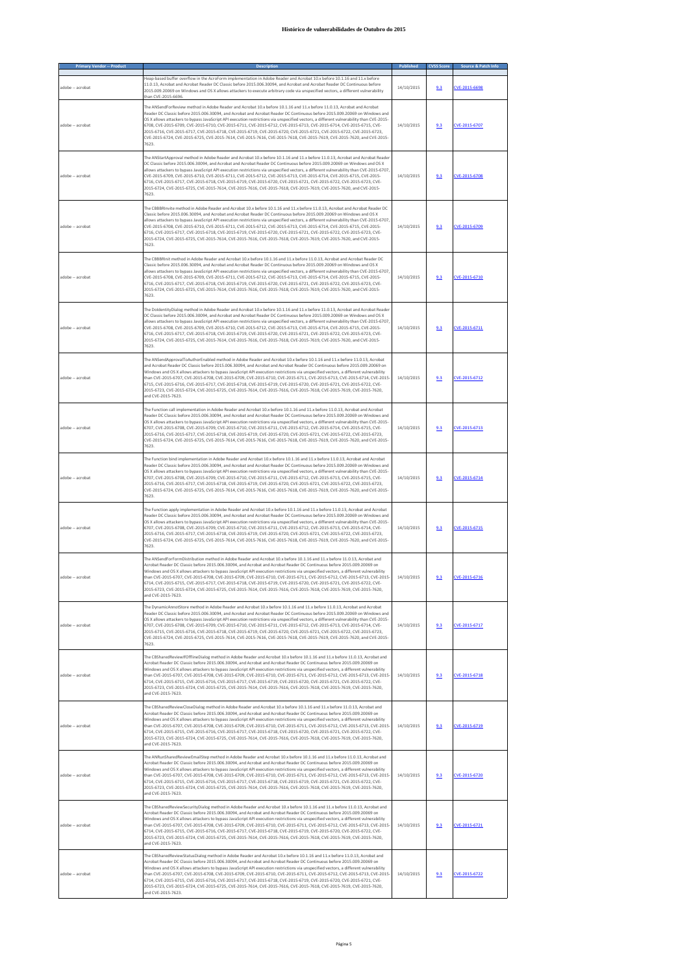| <b>Primary Vendor -- Produ</b> |                                                                                                                                                                                                                                                                                                                                                                                                                                                                                                                                                                                                                                                                                                                                                                                                |            |     |               |
|--------------------------------|------------------------------------------------------------------------------------------------------------------------------------------------------------------------------------------------------------------------------------------------------------------------------------------------------------------------------------------------------------------------------------------------------------------------------------------------------------------------------------------------------------------------------------------------------------------------------------------------------------------------------------------------------------------------------------------------------------------------------------------------------------------------------------------------|------------|-----|---------------|
| adobe -- acrobat               | Heap-based buffer overflow in the AcroForm implementation in Adobe Reader and Acrobat 10.x before 10.1.16 and 11.x before<br>11.0.13, Acrobat and Acrobat Reader DC Classic before 2015.006.30094, and Acrobat and Acrobat Reader DC Continuous before<br>2015.009.20069 on Windows and OS X allows attackers to execute arbitrary code via unspecified vectors, a different vulnerability<br>than CVE-2015-6696                                                                                                                                                                                                                                                                                                                                                                               | 14/10/2015 | 9.3 | CVE-2015-6698 |
| adobe -- acrobat               | The ANSendForReview method in Adobe Reader and Acrobat 10.x before 10.1.16 and 11.x before 11.0.13, Acrobat and Acrobat<br>Reader DC Classic before 2015.006.30094, and Acrobat and Acrobat Reader DC Continuous before 2015.009.20069 on Windows and<br>OS X allows attackers to bypass JavaScript API execution restrictions via unspecified vectors, a different vulnerability than CVE-2015-<br>6708, CVE-2015-6709, CVE-2015-6710, CVE-2015-6711, CVE-2015-6712, CVE-2015-6713, CVE-2015-6714, CVE-2015-6715, CVE-<br>2015-6716, CVE-2015-6717, CVE-2015-6718, CVE-2015-6719, CVE-2015-6720, CVE-2015-6721, CVE-2015-6722, CVE-2015-6723,<br>CVE-2015-6724, CVE-2015-6725, CVE-2015-7614, CVE-2015-7616, CVE-2015-7618, CVE-2015-7619, CVE-2015-7620, and CVE-2015-<br>7623.              | 14/10/2015 | 9.3 | CVE-2015-6707 |
| adobe -- acrobat               | The ANStartApproval method in Adobe Reader and Acrobat 10.x before 10.1.16 and 11.x before 11.0.13, Acrobat and Acrobat Reade<br>DC Classic before 2015.006.30094, and Acrobat and Acrobat Reader DC Continuous before 2015.009.20069 on Windows and OS X<br>allows attackers to bypass JavaScript API execution restrictions via unspecified vectors, a different vulnerability than CVE-2015-6707<br>CVE-2015-6709. CVE-2015-6710. CVE-2015-6711. CVE-2015-6712. CVE-2015-6713. CVE-2015-6714. CVE-2015-6715. CVE-2015-<br>6716, CVE-2015-6717, CVE-2015-6718, CVE-2015-6719, CVE-2015-6720, CVE-2015-6721, CVE-2015-6722, CVE-2015-6723, CVE-<br>2015-6724, CVE-2015-6725, CVE-2015-7614, CVE-2015-7616, CVE-2015-7618, CVE-2015-7619, CVE-2015-7620, and CVE-2015-<br>7623.                | 14/10/2015 | 9.3 | CVE-2015-6708 |
| adobe -- acrobat               | The CBBBRInvite method in Adobe Reader and Acrobat 10.x before 10.1.16 and 11.x before 11.0.13, Acrobat and Acrobat Reader DC<br>Classic before 2015.006.30094, and Acrobat and Acrobat Reader DC Continuous before 2015.009.20069 on Windows and OS X<br>allows attackers to bypass JavaScript API execution restrictions via unspecified vectors, a different vulnerability than CVE-2015-6707<br>CVE-2015-6708, CVE-2015-6710, CVE-2015-6711, CVE-2015-6712, CVE-2015-6713, CVE-2015-6714, CVE-2015-6715, CVE-2015-<br>6716, CVE-2015-6717, CVE-2015-6718, CVE-2015-6719, CVE-2015-6720, CVE-2015-6721, CVE-2015-6722, CVE-2015-6723, CVE-<br>2015-6724, CVE-2015-6725, CVE-2015-7614, CVE-2015-7616, CVE-2015-7618, CVE-2015-7619, CVE-2015-7620, and CVE-2015-<br>7623.                   | 14/10/2015 | 9.3 | CVE-2015-6709 |
| adobe -- acrobat               | The CBBBRInit method in Adobe Reader and Acrobat 10.x before 10.1.16 and 11.x before 11.0.13, Acrobat and Acrobat Reader DC<br>Classic before 2015.006.30094, and Acrobat and Acrobat Reader DC Continuous before 2015.009.20069 on Windows and OS X<br>allows attackers to bypass JavaScript API execution restrictions via unspecified vectors, a different vulnerability than CVE-2015-6707<br>CVE-2015-6708, CVE-2015-6709, CVE-2015-6711, CVE-2015-6712, CVE-2015-6713, CVE-2015-6714, CVE-2015-6715, CVE-2015-<br>6716, CVE-2015-6717, CVE-2015-6718, CVE-2015-6719, CVE-2015-6720, CVE-2015-6721, CVE-2015-6722, CVE-2015-6723, CVE-<br>2015-6724, CVE-2015-6725, CVE-2015-7614, CVE-2015-7616, CVE-2015-7618, CVE-2015-7619, CVE-2015-7620, and CVE-2015-<br>7623.                     | 14/10/2015 | 9.3 | CVE-2015-6710 |
| adobe -- acrobat               | The DoldentityDialog method in Adobe Reader and Acrobat 10.x before 10.1.16 and 11.x before 11.0.13, Acrobat and Acrobat Reader<br>DC Classic before 2015.006.30094, and Acrobat and Acrobat Reader DC Continuous before 2015.009.20069 on Windows and OS X<br>allows attackers to bypass JavaScript API execution restrictions via unspecified vectors, a different vulnerability than CVE-2015-6707<br>CVE-2015-6708, CVE-2015-6709, CVE-2015-6710, CVE-2015-6712, CVE-2015-6713, CVE-2015-6714, CVE-2015-6715, CVE-2015-<br>6716, CVE-2015-6717, CVE-2015-6718, CVE-2015-6719, CVE-2015-6720, CVE-2015-6721, CVE-2015-6722, CVE-2015-6723, CVE-<br>2015-6724, CVE-2015-6725, CVE-2015-7614, CVE-2015-7616, CVE-2015-7618, CVE-2015-7619, CVE-2015-7620, and CVE-2015-<br>7623.              | 14/10/2015 | 9.3 | CVE-2015-6711 |
| adobe -- acrobat               | The ANSendApprovalToAuthorEnabled method in Adobe Reader and Acrobat 10.x before 10.1.16 and 11.x before 11.0.13, Acrobat<br>and Acrobat Reader DC Classic before 2015.006.30094, and Acrobat and Acrobat Reader DC Continuous before 2015.009.20069 on<br>Windows and OS X allows attackers to bypass JavaScript API execution restrictions via unspecified vectors, a different vulnerability<br>than CVE-2015-6707, CVE-2015-6708, CVE-2015-6709, CVE-2015-6710, CVE-2015-6711, CVE-2015-6713, CVE-2015-6714, CVE-2015<br>6715, CVE-2015-6716, CVE-2015-6717, CVE-2015-6718, CVE-2015-6719, CVE-2015-6720, CVE-2015-6721, CVE-2015-6722, CVE-<br>2015-6723, CVE-2015-6724, CVE-2015-6725, CVE-2015-7614, CVE-2015-7616, CVE-2015-7618, CVE-2015-7619, CVE-2015-7620,<br>and CVE-2015-7623.  | 14/10/2015 | 9.3 | CVE-2015-6712 |
| adobe -- acrobat               | The Function call implementation in Adobe Reader and Acrobat 10.x before 10.1.16 and 11.x before 11.0.13, Acrobat and Acrobat<br>Reader DC Classic before 2015.006.30094, and Acrobat and Acrobat Reader DC Continuous before 2015.009.20069 on Windows and<br>OS X allows attackers to bypass JavaScript API execution restrictions via unspecified vectors, a different vulnerability than CVE-2015-<br>6707, CVE-2015-6708, CVE-2015-6709, CVE-2015-6710, CVE-2015-6711, CVE-2015-6712, CVE-2015-6714, CVE-2015-6715, CVE-<br>2015-6716, CVE-2015-6717, CVE-2015-6718, CVE-2015-6719, CVE-2015-6720, CVE-2015-6721, CVE-2015-6722, CVE-2015-6723,<br>CVE-2015-6724, CVE-2015-6725, CVE-2015-7614, CVE-2015-7616, CVE-2015-7618, CVE-2015-7619, CVE-2015-7620, and CVE-2015-<br>7623.        | 14/10/2015 | 9.3 | CVE-2015-6713 |
| adobe -- acrobat               | The Function bind implementation in Adobe Reader and Acrobat 10.x before 10.1.16 and 11.x before 11.0.13, Acrobat and Acrobat<br>Reader DC Classic before 2015.006.30094, and Acrobat and Acrobat Reader DC Continuous before 2015.009.20069 on Windows and<br>OS X allows attackers to bypass JavaScript API execution restrictions via unspecified vectors, a different vulnerability than CVE-2015-<br>6707, CVE-2015-6708, CVE-2015-6709, CVE-2015-6710, CVE-2015-6711, CVE-2015-6712, CVE-2015-6713, CVE-2015-6715, CVE-<br>2015-6716, CVE-2015-6717, CVE-2015-6718, CVE-2015-6719, CVE-2015-6720, CVE-2015-6721, CVE-2015-6722, CVE-2015-6723,<br>CVE-2015-6724, CVE-2015-6725, CVE-2015-7614, CVE-2015-7616, CVE-2015-7618, CVE-2015-7619, CVE-2015-7620, and CVE-2015-<br>7623.        | 14/10/2015 | 9.3 | CVE-2015-6714 |
| adobe -- acrobat               | The Function apply implementation in Adobe Reader and Acrobat 10.x before 10.1.16 and 11.x before 11.0.13, Acrobat and Acrobat<br>Reader DC Classic before 2015.006.30094, and Acrobat and Acrobat Reader DC Continuous before 2015.009.20069 on Windows and<br>OS X allows attackers to bypass JavaScript API execution restrictions via unspecified vectors, a different vulnerability than CVE-2015-<br>6707, CVE-2015-6708, CVE-2015-6709, CVE-2015-6710, CVE-2015-6711, CVE-2015-6712, CVE-2015-6713, CVE-2015-6714, CVE-<br>2015-6716, CVE-2015-6717, CVE-2015-6718, CVE-2015-6719, CVE-2015-6720, CVE-2015-6721, CVE-2015-6722, CVE-2015-6723,<br>CVE-2015-6724, CVE-2015-6725, CVE-2015-7614, CVE-2015-7616, CVE-2015-7618, CVE-2015-7619, CVE-2015-7620, and CVE-2015-<br>7623.       | 14/10/2015 | 9.3 | CVE-2015-6715 |
| adobe -- acrobat               | The ANSendForFormDistribution method in Adobe Reader and Acrobat 10.x before 10.1.16 and 11.x before 11.0.13, Acrobat and<br>Acrobat Reader DC Classic before 2015.006.30094, and Acrobat and Acrobat Reader DC Continuous before 2015.009.20069 on<br>Windows and OS X allows attackers to bypass JavaScript API execution restrictions via unspecified vectors, a different vulnerability<br>than CVE-2015-6707, CVE-2015-6708, CVE-2015-6709, CVE-2015-6710, CVE-2015-6711, CVE-2015-6712, CVE-2015-6713, CVE-2015-<br>6714, CVE-2015-6715, CVE-2015-6717, CVE-2015-6718, CVE-2015-6719, CVE-2015-6720, CVE-2015-6721, CVE-2015-6722, CVE-<br>2015-6723, CVE-2015-6724, CVE-2015-6725, CVE-2015-7614, CVE-2015-7616, CVE-2015-7618, CVE-2015-7619, CVE-2015-7620,<br>and CVE-2015-7623.     | 14/10/2015 | 9.3 | CVE-2015-6716 |
| adobe -- acrobat               | The DynamicAnnotStore method in Adobe Reader and Acrobat 10.x before 10.1.16 and 11.x before 11.0.13, Acrobat and Acrobat<br>Reader DC Classic before 2015.006.30094, and Acrobat and Acrobat Reader DC Continuous before 2015.009.20069 on Windows and<br>OS X allows attackers to bypass JavaScript API execution restrictions via unspecified vectors, a different vulnerability than CVE-2015-<br>6707, CVE-2015-6708, CVE-2015-6709, CVE-2015-6710, CVE-2015-6711, CVE-2015-6712, CVE-2015-6713, CVE-2015-6714, CVE-<br>2015-6715, CVE-2015-6716, CVE-2015-6718, CVE-2015-6719, CVE-2015-6720, CVE-2015-6721, CVE-2015-6722, CVE-2015-6723,<br>CVE-2015-6724, CVE-2015-6725, CVE-2015-7614, CVE-2015-7616, CVE-2015-7618, CVE-2015-7619, CVE-2015-7620, and CVE-2015-<br>7623.            | 14/10/2015 | 9.3 | CVE-2015-6717 |
| adobe -- acrobat               | The CBSharedReviewIfOfflineDialog method in Adobe Reader and Acrobat 10.x before 10.1.16 and 11.x before 11.0.13, Acrobat and<br>Acrobat Reader DC Classic before 2015.006.30094, and Acrobat and Acrobat Reader DC Continuous before 2015.009.20069 on<br>Windows and OS X allows attackers to bypass JavaScript API execution restrictions via unspecified vectors, a different vulnerability<br>than CVE-2015-6707, CVE-2015-6708, CVE-2015-6709, CVE-2015-6710, CVE-2015-6711, CVE-2015-6712, CVE-2015-6713, CVE-2015-<br>6714, CVE-2015-6715, CVE-2015-6716, CVE-2015-6717, CVE-2015-6719, CVE-2015-6720, CVE-2015-6721, CVE-2015-6722, CVE-<br>2015-6723, CVE-2015-6724, CVE-2015-6725, CVE-2015-7614, CVE-2015-7616, CVE-2015-7618, CVE-2015-7619, CVE-2015-7620,<br>and CVE-2015-7623. | 14/10/2015 | 9.3 | CVE-2015-6718 |
| adobe -- acrobat               | The CBSharedReviewCloseDialog method in Adobe Reader and Acrobat 10.x before 10.1.16 and 11.x before 11.0.13, Acrobat and<br>Acrobat Reader DC Classic before 2015.006.30094, and Acrobat and Acrobat Reader DC Continuous before 2015.009.20069 on<br>Windows and OS X allows attackers to bypass JavaScript API execution restrictions via unspecified vectors, a different vulnerability<br>than CVE-2015-6707, CVE-2015-6708, CVE-2015-6709, CVE-2015-6710, CVE-2015-6711, CVE-2015-6712, CVE-2015-6713, CVE-2015-<br>6714, CVE-2015-6715, CVE-2015-6716, CVE-2015-6717, CVE-2015-6718, CVE-2015-6720, CVE-2015-6721, CVE-2015-6722, CVE-<br>2015-6723, CVE-2015-6724, CVE-2015-6725, CVE-2015-7614, CVE-2015-7616, CVE-2015-7618, CVE-2015-7619, CVE-2015-7620,<br>and CVE-2015-7623.     | 14/10/2015 | 9.3 | CVE-2015-6719 |
| adobe -- acrobat               | The ANRunSharedReviewEmailStep method in Adobe Reader and Acrobat 10.x before 10.1.16 and 11.x before 11.0.13, Acrobat and<br>Acrobat Reader DC Classic before 2015.006.30094, and Acrobat and Acrobat Reader DC Continuous before 2015.009.20069 on<br>Windows and OS X allows attackers to bypass JavaScript API execution restrictions via unspecified vectors, a different vulnerability<br>than CVE-2015-6707, CVE-2015-6708, CVE-2015-6709, CVE-2015-6710, CVE-2015-6711, CVE-2015-6712, CVE-2015-6713, CVE-2015-<br>6714, CVE-2015-6715, CVE-2015-6716, CVE-2015-6717, CVE-2015-6718, CVE-2015-6719, CVE-2015-6721, CVE-2015-6722, CVE-<br>2015-6723, CVE-2015-6724, CVE-2015-6725, CVE-2015-7614, CVE-2015-7616, CVE-2015-7618, CVE-2015-7619, CVE-2015-7620,<br>and CVE-2015-7623.    | 14/10/2015 | 9.3 | CVE-2015-6720 |
| adobe -- acrobat               | The CBSharedReviewSecurityDialog method in Adobe Reader and Acrobat 10.x before 10.1.16 and 11.x before 11.0.13, Acrobat and<br>Acrobat Reader DC Classic before 2015.006.30094, and Acrobat and Acrobat Reader DC Continuous before 2015.009.20069 on<br>Windows and OS X allows attackers to bypass JavaScript API execution restrictions via unspecified vectors, a different vulnerability<br>than CVE-2015-6707, CVE-2015-6708, CVE-2015-6709, CVE-2015-6710, CVE-2015-6711, CVE-2015-6712, CVE-2015-6713, CVE-2015-<br>6714, CVE-2015-6715, CVE-2015-6716, CVE-2015-6717, CVE-2015-6718, CVE-2015-6719, CVE-2015-6720, CVE-2015-6722, CVE-<br>2015-6723, CVE-2015-6724, CVE-2015-6725, CVE-2015-7614, CVE-2015-7616, CVE-2015-7618, CVE-2015-7619, CVE-2015-7620,<br>and CVE-2015-7623.  | 14/10/2015 | 9.3 | CVE-2015-6721 |
| adobe -- acrobat               | The CBSharedReviewStatusDialog method in Adobe Reader and Acrobat 10.x before 10.1.16 and 11.x before 11.0.13, Acrobat and<br>Acrobat Reader DC Classic before 2015.006.30094, and Acrobat and Acrobat Reader DC Continuous before 2015.009.20069 on<br>Windows and OS X allows attackers to bypass JavaScript API execution restrictions via unspecified vectors, a different vulnerability<br>than CVE-2015-6707, CVE-2015-6708, CVE-2015-6709, CVE-2015-6710, CVE-2015-6711, CVE-2015-6712, CVE-2015-6713, CVE-2015-<br>6714, CVE-2015-6715, CVE-2015-6716, CVE-2015-6717, CVE-2015-6718, CVE-2015-6719, CVE-2015-6720, CVE-2015-6721, CVE-<br>2015-6723, CVE-2015-6724, CVE-2015-6725, CVE-2015-7614, CVE-2015-7616, CVE-2015-7618, CVE-2015-7619, CVE-2015-7620,<br>and CVE-2015-7623.    | 14/10/2015 | 9.3 | CVE-2015-6722 |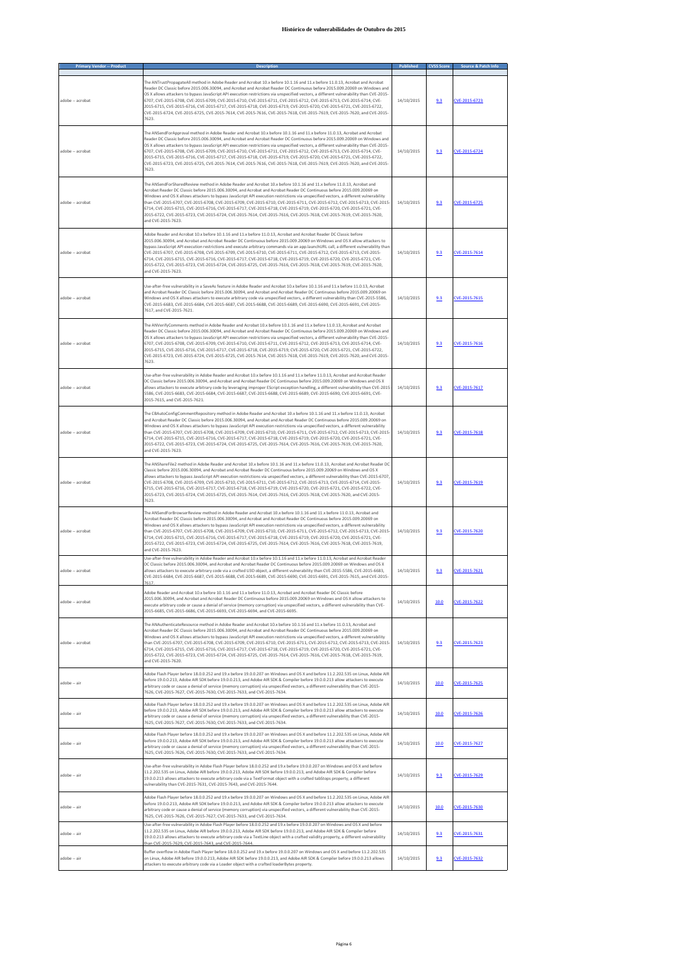| <b>Primary Vendor -- Product</b> | <b>Description</b>                                                                                                                                                                                                                                                                                                                                                                                                                                                                                                                                                                                                                                                                                                                                                                             | Published  | <b>CVSS Score</b> | Source & Patch Info |
|----------------------------------|------------------------------------------------------------------------------------------------------------------------------------------------------------------------------------------------------------------------------------------------------------------------------------------------------------------------------------------------------------------------------------------------------------------------------------------------------------------------------------------------------------------------------------------------------------------------------------------------------------------------------------------------------------------------------------------------------------------------------------------------------------------------------------------------|------------|-------------------|---------------------|
| adobe -- acrobat                 | The ANTrustPropagateAll method in Adobe Reader and Acrobat 10.x before 10.1.16 and 11.x before 11.0.13, Acrobat and Acrobat<br>Reader DC Classic before 2015.006.30094, and Acrobat and Acrobat Reader DC Continuous before 2015.009.20069 on Windows and<br>OS X allows attackers to bypass JavaScript API execution restrictions via unspecified vectors, a different vulnerability than CVE-2015-<br>6707, CVE-2015-6708, CVE-2015-6709, CVE-2015-6710, CVE-2015-6711, CVE-2015-6712, CVE-2015-6713, CVE-2015-6714, CVE-<br>2015-6715, CVE-2015-6716, CVE-2015-6717, CVE-2015-6718, CVE-2015-6719, CVE-2015-6720, CVE-2015-6721, CVE-2015-6722,<br>CVE-2015-6724, CVE-2015-6725, CVE-2015-7614, CVE-2015-7616, CVE-2015-7618, CVE-2015-7619, CVE-2015-7620, and CVE-2015-<br>7623.          | 14/10/2015 | 9.3               | CVE-2015-6723       |
| adobe -- acrobat                 | The ANSendForApproval method in Adobe Reader and Acrobat 10.x before 10.1.16 and 11.x before 11.0.13, Acrobat and Acrobat<br>Reader DC Classic before 2015.006.30094, and Acrobat and Acrobat Reader DC Continuous before 2015.009.20069 on Windows and<br>OS X allows attackers to bypass JavaScript API execution restrictions via unspecified vectors, a different vulnerability than CVE-2015-<br>6707, CVE-2015-6708, CVE-2015-6709, CVE-2015-6710, CVE-2015-6711, CVE-2015-6712, CVE-2015-6713, CVE-2015-6714, CVE-<br>2015-6715, CVE-2015-6716, CVE-2015-6717, CVE-2015-6718, CVE-2015-6719, CVE-2015-6720, CVE-2015-6721, CVE-2015-6722,<br>CVE-2015-6723, CVE-2015-6725, CVE-2015-7614, CVE-2015-7616, CVE-2015-7618, CVE-2015-7619, CVE-2015-7620, and CVE-2015-<br>7623.            | 14/10/2015 | 9.3               | CVE-2015-6724       |
| adobe -- acrobat                 | The ANSendForSharedReview method in Adobe Reader and Acrobat 10.x before 10.1.16 and 11.x before 11.0.13, Acrobat and<br>Acrobat Reader DC Classic before 2015.006.30094, and Acrobat and Acrobat Reader DC Continuous before 2015.009.20069 on<br>Windows and OS X allows attackers to bypass JavaScript API execution restrictions via unspecified vectors, a different vulnerability<br>than CVE-2015-6707, CVE-2015-6708, CVE-2015-6709, CVE-2015-6710, CVE-2015-6711, CVE-2015-6712, CVE-2015-6713, CVE-2015<br>6714, CVE-2015-6715, CVE-2015-6716, CVE-2015-6717, CVE-2015-6718, CVE-2015-6719, CVE-2015-6720, CVE-2015-6721, CVE-<br>2015-6722, CVE-2015-6723, CVE-2015-6724, CVE-2015-7614, CVE-2015-7616, CVE-2015-7618, CVE-2015-7619, CVE-2015-7620,<br>and CVE-2015-7623.          | 14/10/2015 | 9.3               | CVE-2015-6725       |
| adobe -- acrobat                 | Adobe Reader and Acrobat 10.x before 10.1.16 and 11.x before 11.0.13, Acrobat and Acrobat Reader DC Classic before<br>2015.006.30094, and Acrobat and Acrobat Reader DC Continuous before 2015.009.20069 on Windows and OS X allow attackers to<br>bypass JavaScript API execution restrictions and execute arbitrary commands via an app.launchURL call, a different vulnerability than<br>CVE-2015-6707, CVE-2015-6708, CVE-2015-6709, CVE-2015-6710, CVE-2015-6711, CVE-2015-6712, CVE-2015-6713, CVE-2015-<br>6714, CVE-2015-6715, CVE-2015-6716, CVE-2015-6717, CVE-2015-6718, CVE-2015-6719, CVE-2015-6720, CVE-2015-6721, CVE-<br>2015-6722, CVE-2015-6723, CVE-2015-6724, CVE-2015-6725, CVE-2015-7616, CVE-2015-7618, CVE-2015-7619, CVE-2015-7620,<br>and CVE-2015-7623.             | 14/10/2015 | 9.3               | CVE-2015-7614       |
| adobe -- acrobat                 | Use-after-free vulnerability in a SaveAs feature in Adobe Reader and Acrobat 10.x before 10.1.16 and 11.x before 11.0.13, Acrobat<br>and Acrobat Reader DC Classic before 2015.006.30094, and Acrobat and Acrobat Reader DC Continuous before 2015.009.20069 on<br>Windows and OS X allows attackers to execute arbitrary code via unspecified vectors, a different vulnerability than CVE-2015-5586,<br>CVE-2015-6683, CVE-2015-6684, CVE-2015-6687, CVE-2015-6688, CVE-2015-6689, CVE-2015-6690, CVE-2015-6691, CVE-2015-<br>7617. and CVE-2015-7621.                                                                                                                                                                                                                                        | 14/10/2015 | 9.3               | CVE-2015-7615       |
| adobe -- acrobat                 | The ANVerifyComments method in Adobe Reader and Acrobat 10.x before 10.1.16 and 11.x before 11.0.13, Acrobat and Acrobat<br>Reader DC Classic before 2015.006.30094, and Acrobat and Acrobat Reader DC Continuous before 2015.009.20069 on Windows and<br>OS X allows attackers to bypass JavaScript API execution restrictions via unspecified vectors, a different vulnerability than CVE-2015-<br>6707, CVE-2015-6708, CVE-2015-6709, CVE-2015-6710, CVE-2015-6711, CVE-2015-6712, CVE-2015-6713, CVE-2015-6714, CVE-<br>2015-6715, CVE-2015-6716, CVE-2015-6717, CVE-2015-6718, CVE-2015-6719, CVE-2015-6720, CVE-2015-6721, CVE-2015-6722,<br>CVE-2015-6723, CVE-2015-6724, CVE-2015-6725, CVE-2015-7614, CVE-2015-7618, CVE-2015-7619, CVE-2015-7620, and CVE-2015-<br>7623.             | 14/10/2015 | 9.3               | CVE-2015-7616       |
| adobe -- acrobat                 | Use-after-free vulnerability in Adobe Reader and Acrobat 10.x before 10.1.16 and 11.x before 11.0.13, Acrobat and Acrobat Reader<br>DC Classic before 2015.006.30094, and Acrobat and Acrobat Reader DC Continuous before 2015.009.20069 on Windows and OS X<br>allows attackers to execute arbitrary code by leveraging improper EScript exception handling, a different vulnerability than CVE-2015-<br>5586, CVE-2015-6683, CVE-2015-6684, CVE-2015-6687, CVE-2015-6688, CVE-2015-6689, CVE-2015-6690, CVE-2015-6691, CVE-<br>2015-7615, and CVE-2015-7621.                                                                                                                                                                                                                                 | 14/10/2015 | 9.3               | CVE-2015-7617       |
| adobe -- acrobat                 | The CBAutoConfigCommentRepository method in Adobe Reader and Acrobat 10.x before 10.1.16 and 11.x before 11.0.13, Acrobat<br>and Acrobat Reader DC Classic before 2015.006.30094, and Acrobat and Acrobat Reader DC Continuous before 2015.009.20069 on<br>Windows and OS X allows attackers to bypass JavaScript API execution restrictions via unspecified vectors, a different vulnerability<br>than CVE-2015-6707, CVE-2015-6708, CVE-2015-6709, CVE-2015-6710, CVE-2015-6711, CVE-2015-6712, CVE-2015-6713, CVE-2015-<br>6714, CVE-2015-6715, CVE-2015-6716, CVE-2015-6717, CVE-2015-6718, CVE-2015-6719, CVE-2015-6720, CVE-2015-6721, CVE-<br>2015-6722, CVE-2015-6723, CVE-2015-6724, CVE-2015-6725, CVE-2015-7614, CVE-2015-7616, CVE-2015-7619, CVE-2015-7620,<br>and CVE-2015-7623. | 14/10/2015 | 9.3               | CVE-2015-7618       |
| adobe -- acrobat                 | The ANShareFile2 method in Adobe Reader and Acrobat 10.x before 10.1.16 and 11.x before 11.0.13, Acrobat and Acrobat Reader DC<br>Classic before 2015.006.30094, and Acrobat and Acrobat Reader DC Continuous before 2015.009.20069 on Windows and OS X<br>allows attackers to bypass JavaScript API execution restrictions via unspecified vectors, a different vulnerability than CVE-2015-6707<br>CVE-2015-6708, CVE-2015-6709, CVE-2015-6710, CVE-2015-6711, CVE-2015-6712, CVE-2015-6713, CVE-2015-6714, CVE-2015-<br>6715, CVE-2015-6716, CVE-2015-6717, CVE-2015-6718, CVE-2015-6719, CVE-2015-6720, CVE-2015-6721, CVE-2015-6722, CVE-<br>2015-6723, CVE-2015-6724, CVE-2015-6725, CVE-2015-7614, CVE-2015-7616, CVE-2015-7618, CVE-2015-7620, and CVE-2015-<br>7623.                  | 14/10/2015 | 9.3               | CVE-2015-7619       |
| adobe -- acrobat                 | The ANSendForBrowserReview method in Adobe Reader and Acrobat 10.x before 10.1.16 and 11.x before 11.0.13, Acrobat and<br>Acrobat Reader DC Classic before 2015.006.30094, and Acrobat and Acrobat Reader DC Continuous before 2015.009.20069 on<br>Windows and OS X allows attackers to bypass JavaScript API execution restrictions via unspecified vectors, a different vulnerability<br>than CVE-2015-6707, CVE-2015-6708, CVE-2015-6709, CVE-2015-6710, CVE-2015-6711, CVE-2015-6712, CVE-2015-6713, CVE-2015-<br>6714, CVE-2015-6715, CVE-2015-6716, CVE-2015-6717, CVE-2015-6718, CVE-2015-6719, CVE-2015-6720, CVE-2015-6721, CVE-<br>2015-6722, CVE-2015-6723, CVE-2015-6724, CVE-2015-6725, CVE-2015-7614, CVE-2015-7616, CVE-2015-7618, CVE-2015-7619,<br>and CVF-2015-7623         | 14/10/2015 | 9.3               | CVE-2015-7620       |
| adobe -- acrobat                 | Use-after-free vulnerability in Adobe Reader and Acrobat 10.x before 10.1.16 and 11.x before 11.0.13, Acrobat and Acrobat Reader<br>DC Classic before 2015.006.30094, and Acrobat and Acrobat Reader DC Continuous before 2015.009.20069 on Windows and OS X<br>allows attackers to execute arbitrary code via a crafted U3D object, a different vulnerability than CVE-2015-5586, CVE-2015-6683,<br>CVE-2015-6684, CVE-2015-6687, CVE-2015-6688, CVE-2015-6689, CVE-2015-6690, CVE-2015-6691, CVE-2015-7615, and CVE-2015-<br>7617.                                                                                                                                                                                                                                                           | 14/10/2015 | 9.3               | CVE-2015-7621       |
| adobe -- acrobat                 | Adobe Reader and Acrobat 10.x before 10.1.16 and 11.x before 11.0.13, Acrobat and Acrobat Reader DC Classic before<br>2015.006.30094, and Acrobat and Acrobat Reader DC Continuous before 2015.009.20069 on Windows and OS X allow attackers to<br>execute arbitrary code or cause a denial of service (memory corruption) via unspecified vectors, a different vulnerability than CVE-<br>2015-6685, CVE-2015-6686, CVE-2015-6693, CVE-2015-6694, and CVE-2015-6695.                                                                                                                                                                                                                                                                                                                          | 14/10/2015 | 10.0              | CVE-2015-7622       |
| adobe -- acrobat                 | The ANAuthenticateResource method in Adobe Reader and Acrobat 10.x before 10.1.16 and 11.x before 11.0.13, Acrobat and<br>Acrobat Reader DC Classic before 2015.006.30094, and Acrobat and Acrobat Reader DC Continuous before 2015.009.20069 on<br>Windows and OS X allows attackers to bypass JavaScript API execution restrictions via unspecified vectors, a different vulnerability<br>than CVE-2015-6707, CVE-2015-6708, CVE-2015-6709, CVE-2015-6710, CVE-2015-6711, CVE-2015-6712, CVE-2015-6713, CVE-2015-<br>6714, CVE-2015-6715, CVE-2015-6716, CVE-2015-6717, CVE-2015-6718, CVE-2015-6719, CVE-2015-6720, CVE-2015-6721, CVE-<br>2015-6722, CVE-2015-6723, CVE-2015-6724, CVE-2015-6725, CVE-2015-7614, CVE-2015-7616, CVE-2015-7618, CVE-2015-7619,<br>and CVE-2015-7620.        | 14/10/2015 | 9.3               | CVE-2015-7623       |
| adobe -- air                     | Adobe Flash Player before 18.0.0.252 and 19.x before 19.0.0.207 on Windows and OS X and before 11.2.202.535 on Linux, Adobe AIR<br>before 19.0.0.213, Adobe AIR SDK before 19.0.0.213, and Adobe AIR SDK & Compiler before 19.0.0.213 allow attackers to execute<br>arbitrary code or cause a denial of service (memory corruption) via unspecified vectors, a different vulnerability than CVE-2015-<br>7626, CVE-2015-7627, CVE-2015-7630, CVE-2015-7633, and CVE-2015-7634.                                                                                                                                                                                                                                                                                                                 | 14/10/2015 | 10.0              | CVE-2015-7625       |
| adobe -- air                     | Adobe Flash Player before 18.0.0.252 and 19.x before 19.0.0.207 on Windows and OS X and before 11.2.202.535 on Linux. Adobe AIR<br>before 19.0.0.213, Adobe AIR SDK before 19.0.0.213, and Adobe AIR SDK & Compiler before 19.0.0.213 allow attackers to execute<br>arbitrary code or cause a denial of service (memory corruption) via unspecified vectors, a different vulnerability than CVE-2015-<br>7625, CVE-2015-7627, CVE-2015-7630, CVE-2015-7633, and CVE-2015-7634.                                                                                                                                                                                                                                                                                                                 | 14/10/2015 | 10.0              | CVE-2015-7626       |
| adobe -- air                     | Adobe Flash Player before 18.0.0.252 and 19.x before 19.0.0.207 on Windows and OS X and before 11.2.202.535 on Linux, Adobe AIR<br>before 19.0.0.213, Adobe AIR SDK before 19.0.0.213, and Adobe AIR SDK & Compiler before 19.0.0.213 allow attackers to execute<br>arbitrary code or cause a denial of service (memory corruption) via unspecified vectors, a different vulnerability than CVE-2015-<br>7625, CVE-2015-7626, CVE-2015-7630, CVE-2015-7633, and CVE-2015-7634.                                                                                                                                                                                                                                                                                                                 | 14/10/2015 | 10.0              | CVE-2015-7627       |
| adobe -- air                     | Use-after-free vulnerability in Adobe Flash Player before 18.0.0.252 and 19.x before 19.0.0.207 on Windows and OS X and before<br>11.2.202.535 on Linux, Adobe AIR before 19.0.0.213, Adobe AIR SDK before 19.0.0.213, and Adobe AIR SDK & Compiler before<br>19.0.0.213 allows attackers to execute arbitrary code via a TextFormat object with a crafted tabStops property, a different<br>vulnerability than CVE-2015-7631, CVE-2015-7643, and CVE-2015-7644.                                                                                                                                                                                                                                                                                                                               | 14/10/2015 | 9.3               | CVE-2015-7629       |
| adobe -- air                     | Adobe Flash Player before 18.0.0.252 and 19.x before 19.0.0.207 on Windows and OS X and before 11.2.202.535 on Linux, Adobe AIR<br>before 19.0.0.213, Adobe AIR SDK before 19.0.0.213, and Adobe AIR SDK & Compiler before 19.0.0.213 allow attackers to execute<br>arbitrary code or cause a denial of service (memory corruption) via unspecified vectors, a different vulnerability than CVE-2015-<br>7625, CVE-2015-7626, CVE-2015-7627, CVE-2015-7633, and CVE-2015-7634.                                                                                                                                                                                                                                                                                                                 | 14/10/2015 | 10.0              | CVE-2015-7630       |
| adobe -- air                     | Use-after-free vulnerability in Adobe Flash Player before 18.0.0.252 and 19.x before 19.0.0.207 on Windows and OS X and before<br>11.2.202.535 on Linux, Adobe AIR before 19.0.0.213, Adobe AIR SDK before 19.0.0.213, and Adobe AIR SDK & Compiler before<br>19.0.0.213 allows attackers to execute arbitrary code via a TextLine object with a crafted validity property, a different vulnerability<br>than CVE-2015-7629, CVE-2015-7643, and CVE-2015-7644.                                                                                                                                                                                                                                                                                                                                 | 14/10/2015 | 9.3               | CVE-2015-7631       |
| adobe -- air                     | Buffer overflow in Adobe Flash Player before 18.0.0.252 and 19.x before 19.0.0.207 on Windows and OS X and before 11.2.202.535<br>on Linux, Adobe AIR before 19.0.0.213, Adobe AIR SDK before 19.0.0.213, and Adobe AIR SDK & Compiler before 19.0.0.213 allows<br>attackers to execute arbitrary code via a Loader object with a crafted loaderBytes property.                                                                                                                                                                                                                                                                                                                                                                                                                                | 14/10/2015 | 9.3               | CVE-2015-7632       |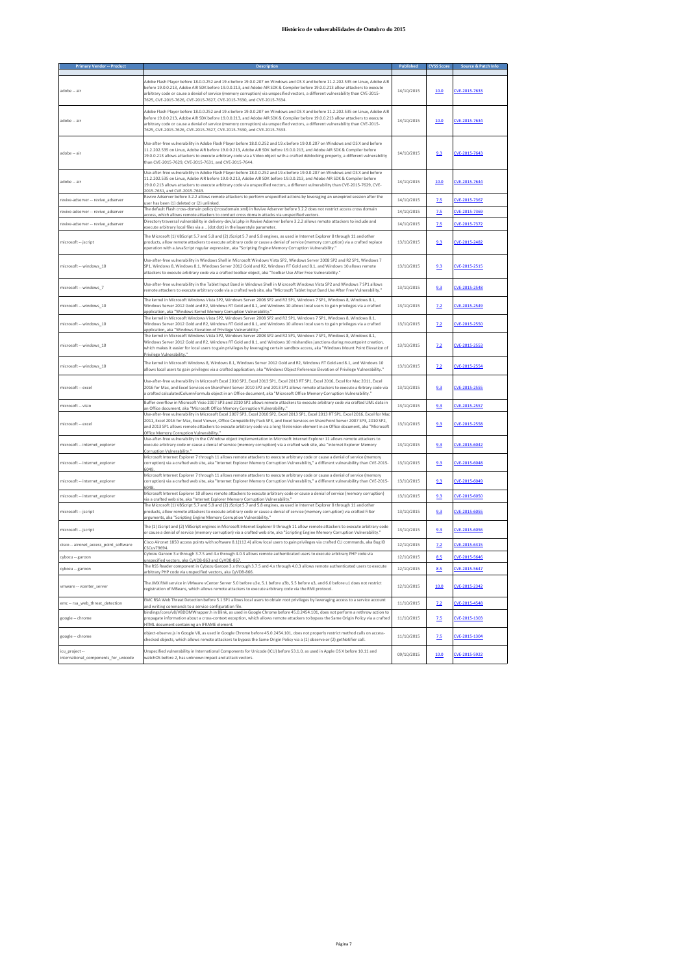| ary Vendor -- Produ                                    |                                                                                                                                                                                                                                                                                                                                                                                                                                                                                |            | <b>CVSS Scor</b> | Source & Patch In |
|--------------------------------------------------------|--------------------------------------------------------------------------------------------------------------------------------------------------------------------------------------------------------------------------------------------------------------------------------------------------------------------------------------------------------------------------------------------------------------------------------------------------------------------------------|------------|------------------|-------------------|
|                                                        |                                                                                                                                                                                                                                                                                                                                                                                                                                                                                |            |                  |                   |
| adobe -- air                                           | Adobe Flash Player before 18.0.0.252 and 19.x before 19.0.0.207 on Windows and OS X and before 11.2.202.535 on Linux, Adobe Alf<br>before 19.0.0.213, Adobe AIR SDK before 19.0.0.213, and Adobe AIR SDK & Compiler before 19.0.0.213 allow attackers to execute<br>arbitrary code or cause a denial of service (memory corruption) via unspecified vectors, a different vulnerability than CVE-2015-<br>7625, CVE-2015-7626, CVE-2015-7627, CVE-2015-7630, and CVE-2015-7634. | 14/10/2015 | 10.0             | CVE-2015-7633     |
| adobe -- air                                           | Adobe Flash Player before 18.0.0.252 and 19.x before 19.0.0.207 on Windows and OS X and before 11.2.202.535 on Linux, Adobe AIR<br>before 19.0.0.213, Adobe AIR SDK before 19.0.0.213, and Adobe AIR SDK & Compiler before 19.0.0.213 allow attackers to execute<br>arbitrary code or cause a denial of service (memory corruption) via unspecified vectors, a different vulnerability than CVE-2015-<br>7625, CVE-2015-7626, CVE-2015-7627, CVE-2015-7630, and CVE-2015-7633, | 14/10/2015 | 10.0             | CVE-2015-7634     |
| adobe -- air                                           | Use-after-free vulnerability in Adobe Flash Player before 18.0.0.252 and 19.x before 19.0.0.207 on Windows and OS X and before<br>11.2.202.535 on Linux, Adobe AIR before 19.0.0.213, Adobe AIR SDK before 19.0.0.213, and Adobe AIR SDK & Compiler before<br>19.0.0.213 allows attackers to execute arbitrary code via a Video object with a crafted deblocking property, a different vulnerability<br>than CVE-2015-7629, CVE-2015-7631, and CVE-2015-7644.                  | 14/10/2015 | 9.3              | CVE-2015-7643     |
| adobe -- air                                           | Use-after-free vulnerability in Adobe Flash Player before 18.0.0.252 and 19.x before 19.0.0.207 on Windows and OS X and before<br>11.2.202.535 on Linux. Adobe AIR before 19.0.0.213. Adobe AIR SDK before 19.0.0.213, and Adobe AIR SDK & Compiler before<br>19.0.0.213 allows attackers to execute arbitrary code via unspecified vectors, a different vulnerability than CVE-2015-7629, CVE-<br>2015-7631, and CVE-2015-7643.                                               | 14/10/2015 | 10.0             | CVE-2015-7644     |
| revive-adserver -- revive adserver                     | Revive Adserver before 3.2.2 allows remote attackers to perform unspecified actions by leveraging an unexpired session after the<br>user has been (1) deleted or (2) unlinked.                                                                                                                                                                                                                                                                                                 | 14/10/2015 | 7.5              | CVE-2015-7367     |
| revive-adserver -- revive adserver                     | The default Flash cross-domain policy (crossdomain.xml) in Revive Adserver before 3.2.2 does not restrict access cross domain<br>access, which allows remote attackers to conduct cross domain attacks via unspecified vectors.                                                                                                                                                                                                                                                | 14/10/2015 | 7.5              | CVE-2015-7369     |
| revive-adserver -- revive adserver                     | Directory traversal vulnerability in delivery-dev/al.php in Revive Adserver before 3.2.2 allows remote attackers to include and<br>execute arbitrary local files via a  (dot dot) in the layerstyle parameter.                                                                                                                                                                                                                                                                 | 14/10/2015 | 7.5              | CVE-2015-7372     |
| microsoft -- jscript                                   | The Microsoft (1) VBScript 5.7 and 5.8 and (2) JScript 5.7 and 5.8 engines, as used in Internet Explorer 8 through 11 and other<br>products, allow remote attackers to execute arbitrary code or cause a denial of service (memory corruption) via a crafted replace<br>operation with a JavaScript regular expression, aka "Scripting Engine Memory Corruption Vulnerability."                                                                                                | 13/10/2015 | 9.3              | CVE-2015-2482     |
| microsoft -- windows 10                                | Use-after-free vulnerability in Windows Shell in Microsoft Windows Vista SP2, Windows Server 2008 SP2 and R2 SP1, Windows 7<br>SP1, Windows 8, Windows 8.1, Windows Server 2012 Gold and R2, Windows RT Gold and 8.1, and Windows 10 allows remote<br>attackers to execute arbitrary code yia a crafted toolbar object, aka "Toolbar Use After Free Vulnerability,"                                                                                                            | 13/10/2015 | 9.3              | CVE-2015-2515     |
| microsoft -- windows 7                                 | Use-after-free vulnerability in the Tablet Input Band in Windows Shell in Microsoft Windows Vista SP2 and Windows 7 SP1 allows<br>remote attackers to execute arbitrary code via a crafted web site, aka "Microsoft Tablet Input Band Use After Free Vulnerability.'                                                                                                                                                                                                           | 13/10/2015 | 9.3              | CVE-2015-2548     |
| microsoft -- windows_10                                | The kernel in Microsoft Windows Vista SP2, Windows Server 2008 SP2 and R2 SP1, Windows 7 SP1, Windows 8, Windows 8.1,<br>Windows Server 2012 Gold and R2, Windows RT Gold and 8.1, and Windows 10 allows local users to gain privileges via a crafted<br>application, aka "Windows Kernel Memory Corruption Vulnerability."                                                                                                                                                    | 13/10/2015 | 7.2              | CVE-2015-2549     |
| microsoft -- windows 10                                | The kernel in Microsoft Windows Vista SP2, Windows Server 2008 SP2 and R2 SP1, Windows 7 SP1, Windows 8, Windows 8.1,<br>Windows Server 2012 Gold and R2, Windows RT Gold and 8.1, and Windows 10 allows local users to gain privileges via a crafted<br>application, aka "Windows Elevation of Privilege Vulnerability.                                                                                                                                                       | 13/10/2015 | 7.2              | CVE-2015-2550     |
| microsoft -- windows 10                                | The kernel in Microsoft Windows Vista SP2, Windows Server 2008 SP2 and R2 SP1, Windows 7 SP1, Windows 8, Windows 8.1,<br>Windows Server 2012 Gold and R2, Windows RT Gold and 8.1, and Windows 10 mishandles junctions during mountpoint creation,<br>which makes it easier for local users to gain privileges by leveraging certain sandbox access, aka "Windows Mount Point Elevation of<br>Privilege Vulnerability                                                          | 13/10/2015 | 7.2              | CVE-2015-2553     |
| microsoft -- windows 10                                | The kernel in Microsoft Windows 8. Windows 8.1, Windows Server 2012 Gold and R2, Windows RT Gold and 8.1, and Windows 10<br>allows local users to gain privileges via a crafted application, aka "Windows Object Reference Elevation of Privilege Vulnerability."                                                                                                                                                                                                              | 13/10/2015 | 7.2              | CVE-2015-2554     |
| microsoft -- excel                                     | Use-after-free vulnerability in Microsoft Excel 2010 SP2, Excel 2013 SP1, Excel 2013 RT SP1, Excel 2016, Excel for Mac 2011, Excel<br>2016 for Mac, and Excel Services on SharePoint Server 2010 SP2 and 2013 SP1 allows remote attackers to execute arbitrary code via<br>a crafted calculatedColumnFormula object in an Office document, aka "Microsoft Office Memory Corruption Vulnerability."                                                                             | 13/10/2015 | 9.3              | CVE-2015-2555     |
| microsoft -- visio                                     | Buffer overflow in Microsoft Visio 2007 SP3 and 2010 SP2 allows remote attackers to execute arbitrary code via crafted UML data in<br>an Office document, aka "Microsoft Office Memory Corruption Vulnerability."                                                                                                                                                                                                                                                              | 13/10/2015 | 9.3              | CVE-2015-2557     |
| microsoft -- excel                                     | Use-after-free vulnerability in Microsoft Excel 2007 SP3, Excel 2010 SP2, Excel 2013 SP1, Excel 2013 RT SP1, Excel 2016, Excel for Mac<br>2011, Excel 2016 for Mac, Excel Viewer, Office Compatibility Pack SP3, and Excel Services on SharePoint Server 2007 SP3, 2010 SP2,<br>and 2013 SP1 allows remote attackers to execute arbitrary code via a long fileVersion element in an Office document, aka "Microsoft<br>Office Memory Corruption Vulnerability."                | 13/10/2015 | 9.3              | CVE-2015-2558     |
| microsoft -- internet explorer                         | Use-after-free vulnerability in the CWindow object implementation in Microsoft Internet Explorer 11 allows remote attackers to<br>execute arbitrary code or cause a denial of service (memory corruption) via a crafted web site, aka "Internet Explorer Memory<br>Corruption Vulnerability.'                                                                                                                                                                                  | 13/10/2015 | 9.3              | CVE-2015-6042     |
| microsoft -- internet explorer                         | Microsoft Internet Explorer 7 through 11 allows remote attackers to execute arbitrary code or cause a denial of service (memory<br>corruption) via a crafted web site, aka "Internet Explorer Memory Corruption Vulnerability," a different vulnerability than CVE-2015-<br>6049.                                                                                                                                                                                              | 13/10/2015 | 9.3              | CVE-2015-6048     |
| microsoft -- internet explorer                         | Microsoft Internet Explorer 7 through 11 allows remote attackers to execute arbitrary code or cause a denial of service (memory<br>corruption) via a crafted web site, aka "Internet Explorer Memory Corruption Vulnerability," a different vulnerability than CVE-2015<br>6048                                                                                                                                                                                                | 13/10/2015 | 9.3              | CVE-2015-6049     |
| microsoft -- internet explorer                         | Microsoft Internet Explorer 10 allows remote attackers to execute arbitrary code or cause a denial of service (memory corruption)<br>via a crafted web site, aka "Internet Explorer Memory Corruption Vulnerability.'                                                                                                                                                                                                                                                          | 13/10/2015 | 9.3              | CVE-2015-6050     |
| microsoft -- jscript                                   | The Microsoft (1) VBScript 5.7 and 5.8 and (2) JScript 5.7 and 5.8 engines, as used in Internet Explorer 8 through 11 and other<br>products, allow remote attackers to execute arbitrary code or cause a denial of service (memory corruption) via crafted Filter<br>ents, aka "Scripting Engine Memory Corruption Vulnerability."                                                                                                                                             | 13/10/2015 | 9.3              | CVE-2015-6055     |
| microsoft -- jscript                                   | The (1) JScript and (2) VBScript engines in Microsoft Internet Explorer 9 through 11 allow remote attackers to execute arbitrary code<br>or cause a denial of service (memory corruption) via a crafted web site, aka "Scripting Engine Memory Corruption Vulnerability.                                                                                                                                                                                                       | 13/10/2015 | 9.3              | CVE-2015-6056     |
| cisco -- aironet_access_point_software                 | Cisco Aironet 1850 access points with software 8.1(112.4) allow local users to gain privileges via crafted CLI commands, aka Bug ID<br>CSCuv79694.                                                                                                                                                                                                                                                                                                                             | 12/10/2015 | 7.2              | CVE-2015-6315     |
| cybozu -- garoon                                       | Cybozu Garoon 3.x through 3.7.5 and 4.x through 4.0.3 allows remote authenticated users to execute arbitrary PHP code via<br>unspecified vectors, aka CyVDB-863 and CyVDB-867.                                                                                                                                                                                                                                                                                                 | 12/10/2015 | 8.5              | CVE-2015-5646     |
| cybozu -- garoon                                       | The RSS Reader component in Cybozu Garoon 3.x through 3.7.5 and 4.x through 4.0.3 allows remote authenticated users to execute<br>arbitrary PHP code via unspecified vectors, aka CyVDB-866                                                                                                                                                                                                                                                                                    | 12/10/2015 | 8.5              | CVE-2015-5647     |
| vmware -- vcenter_server                               | The JMX RMI service in VMware vCenter Server 5.0 before u3e, 5.1 before u3b, 5.5 before u3, and 6.0 before u1 does not restrict<br>registration of MBeans, which allows remote attackers to execute arbitrary code via the RMI protocol.                                                                                                                                                                                                                                       | 12/10/2015 | 10.0             | CVE-2015-2342     |
| emc -- rsa web threat detection                        | EMC RSA Web Threat Detection before 5.1 SP1 allows local users to obtain root privileges by leveraging access to a service account<br>and writing commands to a service configuration file.                                                                                                                                                                                                                                                                                    | 11/10/2015 | 7.2              | CVE-2015-4548     |
| google -- chrome                                       | bindings/core/v8/V8DOMWrapper.h in Blink, as used in Google Chrome before 45.0.2454.101, does not perform a rethrow action to<br>propagate information about a cross-context exception, which allows remote attackers to bypass the Same Origin Policy via a crafted<br>HTML document containing an IFRAME element.                                                                                                                                                            | 11/10/2015 | 7.5              | CVE-2015-1303     |
| google -- chrome                                       | object-observe.js in Google V8, as used in Google Chrome before 45.0.2454.101, does not properly restrict method calls on access-<br>checked objects, which allows remote attackers to bypass the Same Origin Policy via a (1) observe or (2) getNotifier call.                                                                                                                                                                                                                | 11/10/2015 | 7.5              | CVE-2015-1304     |
| icu project --<br>international_components_for_unicode | Unspecified vulnerability in International Components for Unicode (ICU) before 53.1.0, as used in Apple OS X before 10.11 and<br>watchOS before 2, has unknown impact and attack vectors.                                                                                                                                                                                                                                                                                      | 09/10/2015 | 10.0             | CVE-2015-5922     |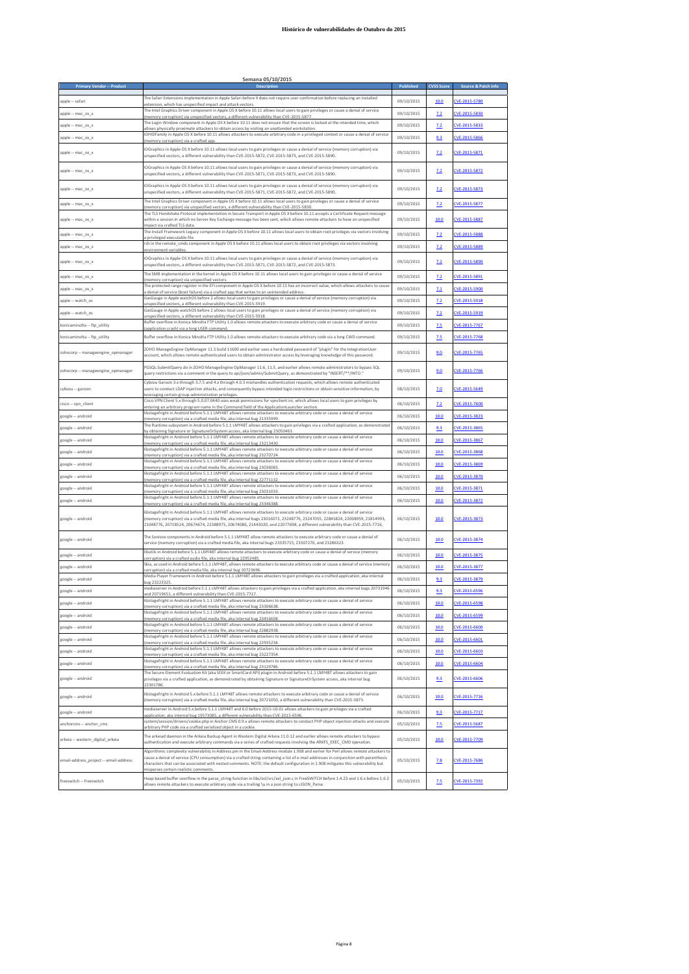| <b>Primary Vendor -- Product</b>       | Semana 05/10/2015<br><b>Description</b>                                                                                                                                                                                                                                                                                                                                                |            | <b>CVSS Score</b> | Source & Patch Info |
|----------------------------------------|----------------------------------------------------------------------------------------------------------------------------------------------------------------------------------------------------------------------------------------------------------------------------------------------------------------------------------------------------------------------------------------|------------|-------------------|---------------------|
|                                        | The Safari Extensions implementation in Apple Safari before 9 does not require user confirmation before replacing an installed                                                                                                                                                                                                                                                         |            |                   |                     |
| apple -- safari                        | extension, which has unspecified impact and attack vectors.<br>The Intel Graphics Driver component in Apple OS X before 10.11 allows local users to gain privileges or cause a denial of service                                                                                                                                                                                       | 09/10/2015 | 10.0              | CVE-2015-5780       |
| apple -- mac os x                      | memory corruption) via unspecified vectors, a different vulnerability than CVE-2015-5877.<br>The Login Window component in Apple OS X before 10.11 does not ensure that the screen is locked at the intended time, which                                                                                                                                                               | 09/10/2015 | 7.2               | CVE-2015-5830       |
| apple -- mac_os_x                      | allows physically proximate attackers to obtain access by visiting an unattended workstation.                                                                                                                                                                                                                                                                                          | 09/10/2015 | 2.2               | CVE-2015-5833       |
| apple -- mac os x                      | IOHIDFamily in Apple OS X before 10.11 allows attackers to execute arbitrary code in a privileged context or cause a denial of service<br>nemory corruption) via a crafted app                                                                                                                                                                                                         | 09/10/2015 | 9.3               | CVE-2015-5866       |
| apple -- mac_os_x                      | IOGraphics in Apple OS X before 10.11 allows local users to gain privileges or cause a denial of service (memory corruption) via<br>unspecified vectors, a different vulnerability than CVE-2015-5872, CVE-2015-5873, and CVE-2015-5890.                                                                                                                                               | 09/10/2015 | 7.2               | CVE-2015-5871       |
| apple -- mac_os_x                      | IOGraphics in Apple OS X before 10.11 allows local users to gain privileges or cause a denial of service (memory corruption) via<br>unspecified vectors, a different vulnerability than CVE-2015-5871, CVE-2015-5873, and CVE-2015-5890.                                                                                                                                               | 09/10/2015 | 7.2               | CVE-2015-5872       |
| apple $-$ mac os $x$                   | IOGraphics in Apple OS X before 10.11 allows local users to gain privileges or cause a denial of service (memory corruption) via<br>unspecified vectors, a different vulnerability than CVE-2015-5871, CVE-2015-5872, and CVE-2015-5890.                                                                                                                                               | 09/10/2015 | 7.2               | CVE-2015-5873       |
| apple -- mac_os_x                      | The Intel Graphics Driver component in Apple OS X before 10.11 allows local users to gain privileges or cause a denial of service<br>memory corruption) via unspecified vectors, a different vulnerability than CVE-2015-5830                                                                                                                                                          | 09/10/2015 | 7.2               | CVE-2015-5877       |
| apple -- mac_os_x                      | The TLS Handshake Protocol implementation in Secure Transport in Apple OS X before 10.11 accepts a Certificate Request message<br>within a session in which no Server Key Exchange message has been sent, which allows remote attackers to have an unspecified<br>impact via crafted TLS data.                                                                                         | 09/10/2015 | 10.0              | CVE-2015-5887       |
| apple -- mac_os_x                      | The Install Framework Legacy component in Apple OS X before 10.11 allows local users to obtain root privileges via vectors involving<br>a privileged executable file.                                                                                                                                                                                                                  | 09/10/2015 | 7.2               | CVE-2015-5888       |
| apple -- mac os x                      | rsh in the remote_cmds component in Apple OS X before 10.11 allows local users to obtain root privileges via vectors involving                                                                                                                                                                                                                                                         | 09/10/2015 | 7.2               | CVE-2015-5889       |
| apple -- mac_os x                      | environment variables<br>IOGraphics in Apple OS X before 10.11 allows local users to gain privileges or cause a denial of service (memory corruption) via                                                                                                                                                                                                                              | 09/10/2015 | 7.2               | CVE-2015-5890       |
|                                        | unspecified vectors, a different vulnerability than CVE-2015-5871, CVE-2015-5872, and CVE-2015-5873.<br>The SMB implementation in the kernel in Apple OS X before 10.11 allows local users to gain privileges or cause a denial of service                                                                                                                                             |            |                   |                     |
| apple -- mac_os_x                      | memory corruption) via unspecified vectors.<br>The protected range register in the EFI component in Apple OS X before 10.11 has an incorrect value, which allows attackers to cause                                                                                                                                                                                                    | 09/10/2015 | 7.2               | CVE-2015-5891       |
| apple -- mac_os_x                      | a denial of service (boot failure) via a crafted app that writes to an unintended address.                                                                                                                                                                                                                                                                                             | 09/10/2015 | 7.1               | CVE-2015-5900       |
| apple -- watch_os                      | GasGauge in Apple watchOS before 2 allows local users to gain privileges or cause a denial of service (memory corruption) via<br>unspecified vectors, a different vulnerability than CVE-2015-5919.                                                                                                                                                                                    | 09/10/2015 | 7.2               | CVE-2015-5918       |
| apple -- watch os                      | GasGauge in Apple watchOS before 2 allows local users to gain privileges or cause a denial of service (memory corruption) via<br>unspecified vectors, a different vulnerability than CVE-2015-5918.                                                                                                                                                                                    | 09/10/2015 | 2.2               | CVE-2015-5919       |
| konicaminolta -- ftp_utility           | Buffer overflow in Konica Minolta FTP Utility 1.0 allows remote attackers to execute arbitrary code or cause a denial of service<br>pplication crash) via a long USER command                                                                                                                                                                                                          | 09/10/2015 | 2.5               | CVE-2015-7767       |
| konicaminolta -- ftp_utility           | Buffer overflow in Konica Minolta FTP Utility 1.0 allows remote attackers to execute arbitrary code via a long CWD command.                                                                                                                                                                                                                                                            | 09/10/2015 | 7.5               | CVE-2015-7768       |
| zohocorp -- manageengine_opmanager     | ZOHO ManageEngine OpManager 11.5 build 11600 and earlier uses a hardcoded password of "plugin" for the IntegrationUser<br>account, which allows remote authenticated users to obtain administrator access by leveraging knowledge of this password.                                                                                                                                    | 09/10/2015 | 9.0               | CVE-2015-7765       |
|                                        |                                                                                                                                                                                                                                                                                                                                                                                        |            |                   |                     |
| zohocorp -- manageengine_opmanager     | PGSQL:SubmitQuery.do in ZOHO ManageEngine OpManager 11.6, 11.5, and earlier allows remote administrators to bypass SQL<br>query restrictions via a comment in the query to api/json/admin/SubmitQuery, as demonstrated by "INSERT/**/INTO."<br>Cybozu Garoon 3.x through 3.7.5 and 4.x through 4.0.3 mishandles authentication requests, which allows remote authenticated             | 09/10/2015 | 9.0               | CVE-2015-7766       |
| cybozu -- garoon                       | users to conduct LDAP injection attacks, and consequently bypass intended login restrictions or obtain sensitive information, by<br>everaging certain group-administration privileges.                                                                                                                                                                                                 | 08/10/2015 | 7.0               | CVE-2015-5649       |
| cisco -- von client                    | Cisco VPN Client 5.x through 5.0.07.0440 uses weak permissions for vpnclient.ini, which allows local users to gain privileges by<br>entering an arbitrary program name in the Command field of the ApplicationLauncher section.                                                                                                                                                        | 06/10/2015 | 7.2               | CVE-2015-7600       |
| google -- android                      | libstagefright in Android before 5.1.1 LMY48T allows remote attackers to execute arbitrary code or cause a denial of service<br>memory corruption) via a crafted media file, aka internal bug 21335999.                                                                                                                                                                                | 06/10/2015 | 10.0              | VE-2015-3823        |
| google -- android                      | The Runtime subsystem in Android before 5.1.1 LMY48T allows attackers to gain privileges via a crafted application, as demonstrated                                                                                                                                                                                                                                                    | 06/10/2015 | 9.3               | CVE-2015-3865       |
| google -- android                      | by obtaining Signature or SignatureOrSystem access, aka internal bug 23050463.<br>libstagefright in Android before 5.1.1 LMY48T allows remote attackers to execute arbitrary code or cause a denial of service                                                                                                                                                                         | 06/10/2015 | 10.0              | CVE-2015-3867       |
| google -- android                      | memory corruption) via a crafted media file, aka internal bug 23213430.<br>libstagefright in Android before 5.1.1 LMY48T allows remote attackers to execute arbitrary code or cause a denial of service                                                                                                                                                                                | 06/10/2015 | 10.0              | CVE-2015-3868       |
| google -- android                      | (memory corruption) via a crafted media file, aka internal bug 23270724.<br>libstagefright in Android before 5.1.1 LMY48T allows remote attackers to execute arbitrary code or cause a denial of service                                                                                                                                                                               | 06/10/2015 | 10.0              | CVE-2015-3869       |
|                                        | memory corruption) via a crafted media file, aka internal bug 23036083.<br>libstagefright in Android before 5.1.1 LMY48T allows remote attackers to execute arbitrary code or cause a denial of service                                                                                                                                                                                |            |                   |                     |
| google -- android                      | (memory corruption) via a crafted media file, aka internal bug 22771132.<br>libstagefright in Android before 5.1.1 LMY48T allows remote attackers to execute arbitrary code or cause a denial of service                                                                                                                                                                               | 06/10/2015 | 10.0              | CVE-2015-3870       |
| google -- android                      | memory corruption) via a crafted media file, aka internal bug 23031033.<br>libstagefright in Android before 5.1.1 LMY48T allows remote attackers to execute arbitrary code or cause a denial of service                                                                                                                                                                                | 06/10/2015 | 10.0              | CVE-2015-3871       |
| google -- android                      | (memory corruption) via a crafted media file, aka internal bug 23346388.                                                                                                                                                                                                                                                                                                               | 06/10/2015 | 10.0              | CVE-2015-3872       |
| google -- android                      | libstagefright in Android before 5.1.1 LMY48T allows remote attackers to execute arbitrary code or cause a denial of service<br>(memory corruption) via a crafted media file, aka internal bugs 23016072, 23248776, 23247055, 22845824, 22008959, 21814993,<br>21048776, 20718524, 20674674, 22388975, 20674086, 21443020, and 22077698, a different vulnerability than CVE-2015-7716. | 06/10/2015 | 10.0              | CVE-2015-3873       |
| google -- android                      | The Sonivox components in Android before 5.1.1 LMY48T allow remote attackers to execute arbitrary code or cause a denial of<br>service (memory corruption) via a crafted media file, aka internal bugs 23335715, 23307276, and 23286323.                                                                                                                                               | 06/10/2015 | 10.0              | CVE-2015-3874       |
| google -- android                      | libutils in Android before 5.1.1 LMY48T allows remote attackers to execute arbitrary code or cause a denial of service (memory                                                                                                                                                                                                                                                         | 06/10/2015 | 10.0              | CVE-2015-3875       |
| google -- android                      | corruption) via a crafted audio file, aka internal bug 22952485.<br>Skia, as used in Android before 5.1.1 LMY48T, allows remote attackers to execute arbitrary code or cause a denial of service (memory                                                                                                                                                                               | 06/10/2015 | 10.0              | CVE-2015-3877       |
| google -- android                      | corruption) via a crafted media file, aka internal bug 20723696.<br>Media Player Framework in Android before 5.1.1 LMY48T allows attackers to gain privileges via a crafted application, aka internal                                                                                                                                                                                  | 06/10/2015 | 9.3               | CVE-2015-3879       |
| google -- android                      | pug 23223325<br>mediaserver in Android before 5.1.1 LMY48T allows attackers to gain privileges via a crafted application, aka internal bugs 20731946                                                                                                                                                                                                                                   | 06/10/2015 | 9.3               | CVE-2015-6596       |
|                                        | and 20719651, a different vulnerability than CVE-2015-7717.<br>libstagefright in Android before 5.1.1 LMY48T allows remote attackers to execute arbitrary code or cause a denial of service                                                                                                                                                                                            |            |                   |                     |
| google -- android                      | (memory corruption) via a crafted media file, aka internal bug 23306638.<br>libstagefright in Android before 5.1.1 LMY48T allows remote attackers to execute arbitrary code or cause a denial of service                                                                                                                                                                               | 06/10/2015 | 10.0              | CVE-2015-6598       |
| google -- android                      | (memory corruption) via a crafted media file, aka internal bug 23416608.<br>libstagefright in Android before 5.1.1 LMY48T allows remote attackers to execute arbitrary code or cause a denial of service                                                                                                                                                                               | 06/10/2015 | 10.0              | CVE-2015-6599       |
| google -- android                      | (memory corruption) via a crafted media file, aka internal bug 22882938.<br>libstagefright in Android before 5.1.1 LMY48T allows remote attackers to execute arbitrary code or cause a denial of service                                                                                                                                                                               | 06/10/2015 | 10.0              | CVE-2015-6600       |
| google -- android                      | (memory corruption) via a crafted media file, aka internal bug 22935234.                                                                                                                                                                                                                                                                                                               | 06/10/2015 | 10.0              | CVE-2015-6601       |
| google -- android                      | libstagefright in Android before 5.1.1 LMY48T allows remote attackers to execute arbitrary code or cause a denial of service<br>(memory corruption) via a crafted media file, aka internal bug 23227354.                                                                                                                                                                               | 06/10/2015 | 10.0              | CVE-2015-6603       |
| google -- android                      | libstagefright in Android before 5.1.1 LMY48T allows remote attackers to execute arbitrary code or cause a denial of service<br>(memory corruption) via a crafted media file, aka internal bug 23129786.                                                                                                                                                                               | 06/10/2015 | 10.0              | CVE-2015-6604       |
| google -- android                      | The Secure Element Evaluation Kit (aka SEEK or SmartCard API) plugin in Android before 5.1.1 LMY48T allows attackers to gain<br>privileges via a crafted application, as demonstrated by obtaining Signature or SignatureOrSystem access, aka internal bug<br>22301786                                                                                                                 | 06/10/2015 | 9.3               | CVE-2015-6606       |
| google -- android                      | libstagefright in Android 5.x before 5.1.1 LMY48T allows remote attackers to execute arbitrary code or cause a denial of service<br>(memory corruption) via a crafted media file, aka internal bug 20721050, a different vulnerability than CVE-2015-3873.                                                                                                                             | 06/10/2015 | 10.0              | CVE-2015-7716       |
| google -- android                      | mediaserver in Android 5.x before 5.1.1 LMY48T and 6.0 before 2015-10-01 allows attackers to gain privileges via a crafted                                                                                                                                                                                                                                                             | 06/10/2015 | 9.3               | CVE-2015-7717       |
| anchorcms -- anchor_cms                | application, aka internal bug 19573085, a different vulnerability than CVE-2015-6596.<br>system/session/drivers/cookie.php in Anchor CMS 0.9.x allows remote attackers to conduct PHP object injection attacks and execute<br>arbitrary PHP code via a crafted serialized object in a cookie                                                                                           | 05/10/2015 | 2.5               | CVE-2015-5687       |
|                                        | The arkeiad daemon in the Arkeia Backup Agent in Western Digital Arkeia 11.0.12 and earlier allows remote attackers to bypass                                                                                                                                                                                                                                                          |            |                   |                     |
| arkeia -- western_digital_arkeia       | authentication and execute arbitrary commands via a series of crafted requests involving the ARKFS EXEC CMD operation.<br>Algorithmic complexity vulnerability in Address.pm in the Email-Address module 1.908 and earlier for Perl allows remote attackers to                                                                                                                         | 05/10/2015 | 10.0              | CVE-2015-7709       |
| email-address_project -- email-address | cause a denial of service (CPU consumption) via a crafted string containing a list of e-mail addresses in conjunction with parenthesis<br>characters that can be associated with nested comments. NOTE: the default configuration in 1.908 mitigates this vulnerability but<br>misparses certain realistic comments                                                                    | 05/10/2015 | 7.8               | CVE-2015-7686       |
| freeswitch -- freeswitch               | Heap-based buffer overflow in the parse_string function in libs/esl/src/esl_json.c in FreeSWITCH before 1.4.23 and 1.6.x before 1.6.2<br>allows remote attackers to execute arbitrary code via a trailing \u in a json string to cJSON Parse.                                                                                                                                          | 05/10/2015 | <b>7.5</b>        | CVE-2015-7392       |

# **Semana 05/10/2015**